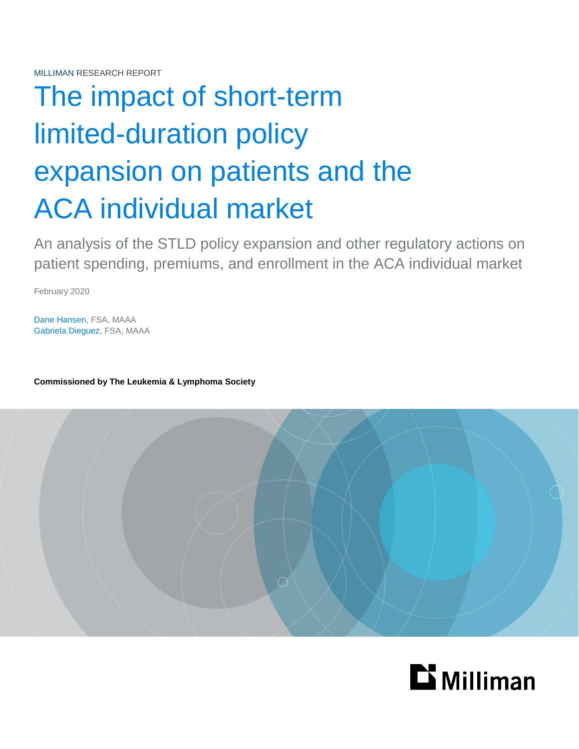# The impact of short-term limited-duration policy expansion on patients and the ACA individual market

An analysis of the STLD policy expansion and other regulatory actions on patient spending, premiums, and enrollment in the ACA individual market

February 2020

Dane Hansen, FSA, MAAA Gabriela Dieguez, FSA, MAAA

**Commissioned by The Leukemia & Lymphoma Society**



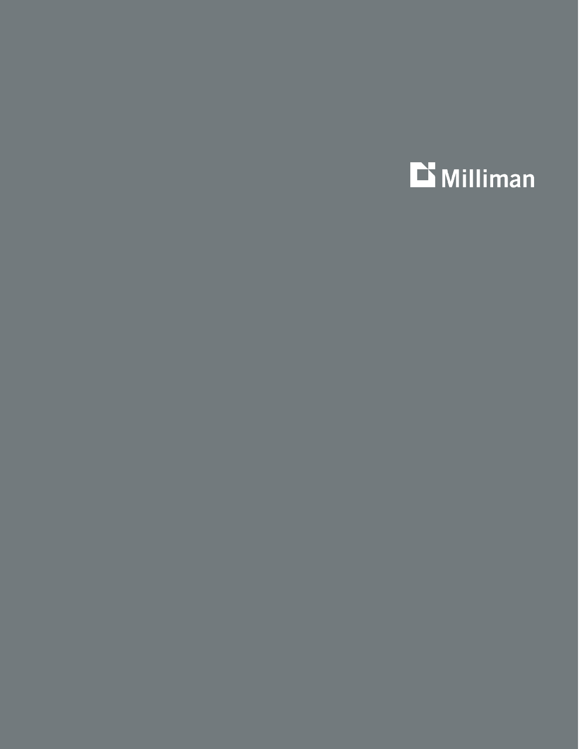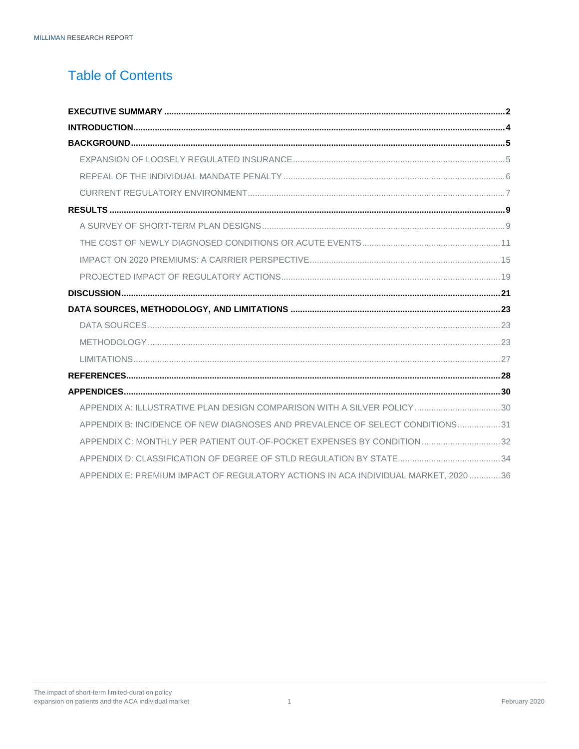# **Table of Contents**

| APPENDIX A: ILLUSTRATIVE PLAN DESIGN COMPARISON WITH A SILVER POLICY 30      |  |
|------------------------------------------------------------------------------|--|
| APPENDIX B: INCIDENCE OF NEW DIAGNOSES AND PREVALENCE OF SELECT CONDITIONS31 |  |
| APPENDIX C: MONTHLY PER PATIENT OUT-OF-POCKET EXPENSES BY CONDITION32        |  |
|                                                                              |  |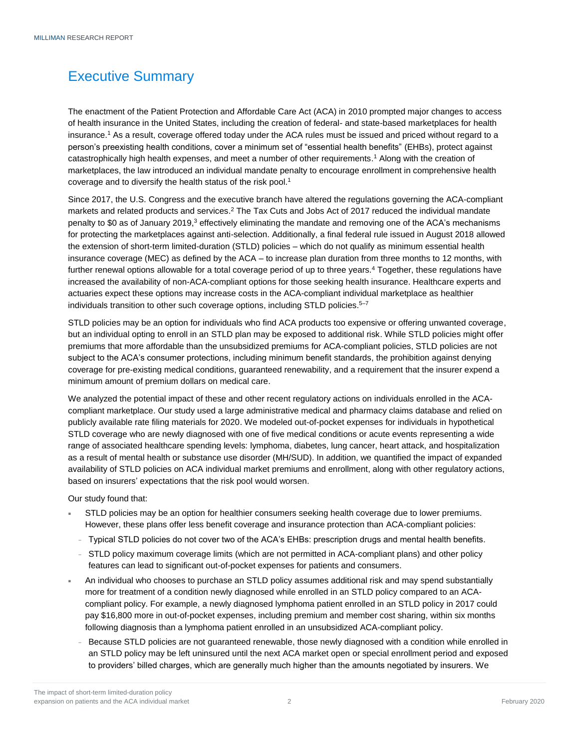# <span id="page-3-0"></span>Executive Summary

The enactment of the Patient Protection and Affordable Care Act (ACA) in 2010 prompted major changes to access of health insurance in the United States, including the creation of federal- and state-based marketplaces for health insurance.<sup>1</sup> As a result, coverage offered today under the ACA rules must be issued and priced without regard to a person's preexisting health conditions, cover a minimum set of "essential health benefits" (EHBs), protect against catastrophically high health expenses, and meet a number of other requirements. <sup>1</sup> Along with the creation of marketplaces, the law introduced an individual mandate penalty to encourage enrollment in comprehensive health coverage and to diversify the health status of the risk pool.<sup>1</sup>

Since 2017, the U.S. Congress and the executive branch have altered the regulations governing the ACA-compliant markets and related products and services.<sup>2</sup> The Tax Cuts and Jobs Act of 2017 reduced the individual mandate penalty to \$0 as of January 2019,<sup>3</sup> effectively eliminating the mandate and removing one of the ACA's mechanisms for protecting the marketplaces against anti-selection. Additionally, a final federal rule issued in August 2018 allowed the extension of short-term limited-duration (STLD) policies – which do not qualify as minimum essential health insurance coverage (MEC) as defined by the ACA – to increase plan duration from three months to 12 months, with further renewal options allowable for a total coverage period of up to three years.<sup>4</sup> Together, these regulations have increased the availability of non-ACA-compliant options for those seeking health insurance. Healthcare experts and actuaries expect these options may increase costs in the ACA-compliant individual marketplace as healthier individuals transition to other such coverage options, including STLD policies.<sup>5-7</sup>

STLD policies may be an option for individuals who find ACA products too expensive or offering unwanted coverage, but an individual opting to enroll in an STLD plan may be exposed to additional risk. While STLD policies might offer premiums that more affordable than the unsubsidized premiums for ACA-compliant policies, STLD policies are not subject to the ACA's consumer protections, including minimum benefit standards, the prohibition against denying coverage for pre-existing medical conditions, guaranteed renewability, and a requirement that the insurer expend a minimum amount of premium dollars on medical care.

We analyzed the potential impact of these and other recent regulatory actions on individuals enrolled in the ACAcompliant marketplace. Our study used a large administrative medical and pharmacy claims database and relied on publicly available rate filing materials for 2020. We modeled out-of-pocket expenses for individuals in hypothetical STLD coverage who are newly diagnosed with one of five medical conditions or acute events representing a wide range of associated healthcare spending levels: lymphoma, diabetes, lung cancer, heart attack, and hospitalization as a result of mental health or substance use disorder (MH/SUD). In addition, we quantified the impact of expanded availability of STLD policies on ACA individual market premiums and enrollment, along with other regulatory actions, based on insurers' expectations that the risk pool would worsen.

Our study found that:

- STLD policies may be an option for healthier consumers seeking health coverage due to lower premiums. However, these plans offer less benefit coverage and insurance protection than ACA-compliant policies:
- <sup>−</sup> Typical STLD policies do not cover two of the ACA's EHBs: prescription drugs and mental health benefits.
- <sup>−</sup> STLD policy maximum coverage limits (which are not permitted in ACA-compliant plans) and other policy features can lead to significant out-of-pocket expenses for patients and consumers.
- An individual who chooses to purchase an STLD policy assumes additional risk and may spend substantially more for treatment of a condition newly diagnosed while enrolled in an STLD policy compared to an ACAcompliant policy. For example, a newly diagnosed lymphoma patient enrolled in an STLD policy in 2017 could pay \$16,800 more in out-of-pocket expenses, including premium and member cost sharing, within six months following diagnosis than a lymphoma patient enrolled in an unsubsidized ACA-compliant policy.
	- <sup>−</sup> Because STLD policies are not guaranteed renewable, those newly diagnosed with a condition while enrolled in an STLD policy may be left uninsured until the next ACA market open or special enrollment period and exposed to providers' billed charges, which are generally much higher than the amounts negotiated by insurers. We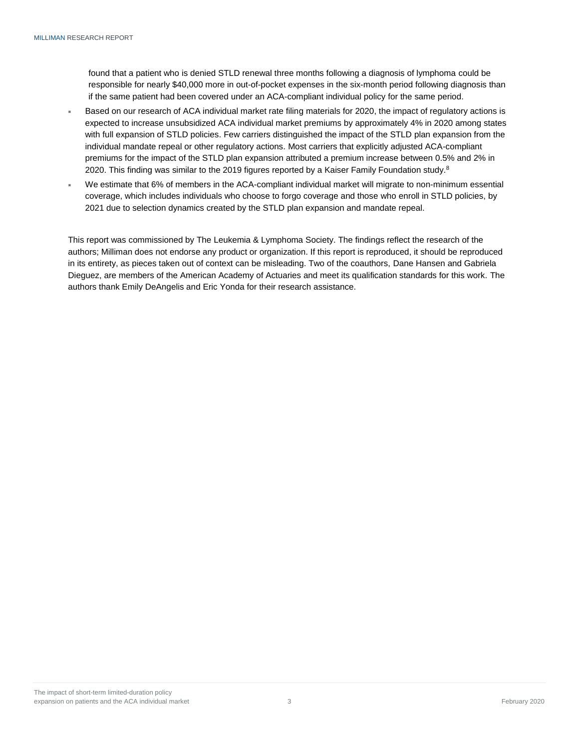found that a patient who is denied STLD renewal three months following a diagnosis of lymphoma could be responsible for nearly \$40,000 more in out-of-pocket expenses in the six-month period following diagnosis than if the same patient had been covered under an ACA-compliant individual policy for the same period.

- Based on our research of ACA individual market rate filing materials for 2020, the impact of regulatory actions is expected to increase unsubsidized ACA individual market premiums by approximately 4% in 2020 among states with full expansion of STLD policies. Few carriers distinguished the impact of the STLD plan expansion from the individual mandate repeal or other regulatory actions. Most carriers that explicitly adjusted ACA-compliant premiums for the impact of the STLD plan expansion attributed a premium increase between 0.5% and 2% in 2020. This finding was similar to the 2019 figures reported by a Kaiser Family Foundation study. $8$
- We estimate that 6% of members in the ACA-compliant individual market will migrate to non-minimum essential coverage, which includes individuals who choose to forgo coverage and those who enroll in STLD policies, by 2021 due to selection dynamics created by the STLD plan expansion and mandate repeal.

This report was commissioned by The Leukemia & Lymphoma Society. The findings reflect the research of the authors; Milliman does not endorse any product or organization. If this report is reproduced, it should be reproduced in its entirety, as pieces taken out of context can be misleading. Two of the coauthors, Dane Hansen and Gabriela Dieguez, are members of the American Academy of Actuaries and meet its qualification standards for this work. The authors thank Emily DeAngelis and Eric Yonda for their research assistance.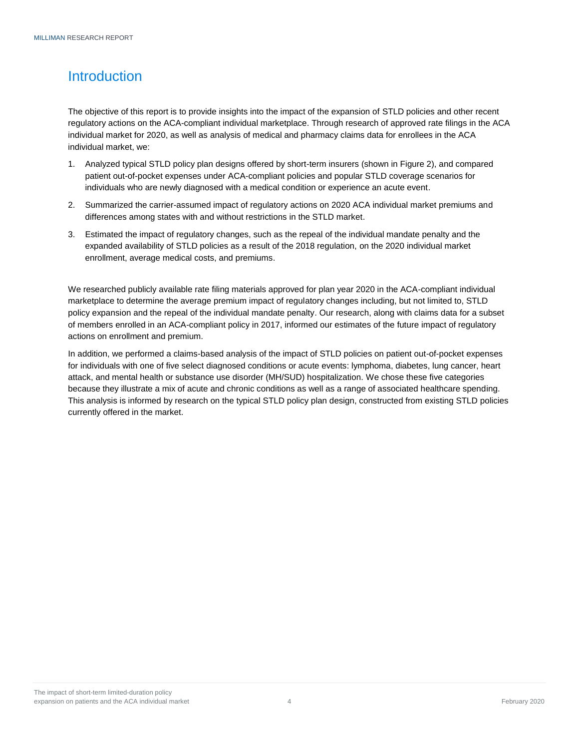# <span id="page-5-0"></span>Introduction

The objective of this report is to provide insights into the impact of the expansion of STLD policies and other recent regulatory actions on the ACA-compliant individual marketplace. Through research of approved rate filings in the ACA individual market for 2020, as well as analysis of medical and pharmacy claims data for enrollees in the ACA individual market, we:

- 1. Analyzed typical STLD policy plan designs offered by short-term insurers (shown in Figure 2), and compared patient out-of-pocket expenses under ACA-compliant policies and popular STLD coverage scenarios for individuals who are newly diagnosed with a medical condition or experience an acute event.
- 2. Summarized the carrier-assumed impact of regulatory actions on 2020 ACA individual market premiums and differences among states with and without restrictions in the STLD market.
- 3. Estimated the impact of regulatory changes, such as the repeal of the individual mandate penalty and the expanded availability of STLD policies as a result of the 2018 regulation, on the 2020 individual market enrollment, average medical costs, and premiums.

We researched publicly available rate filing materials approved for plan year 2020 in the ACA-compliant individual marketplace to determine the average premium impact of regulatory changes including, but not limited to, STLD policy expansion and the repeal of the individual mandate penalty. Our research, along with claims data for a subset of members enrolled in an ACA-compliant policy in 2017, informed our estimates of the future impact of regulatory actions on enrollment and premium.

In addition, we performed a claims-based analysis of the impact of STLD policies on patient out-of-pocket expenses for individuals with one of five select diagnosed conditions or acute events: lymphoma, diabetes, lung cancer, heart attack, and mental health or substance use disorder (MH/SUD) hospitalization. We chose these five categories because they illustrate a mix of acute and chronic conditions as well as a range of associated healthcare spending. This analysis is informed by research on the typical STLD policy plan design, constructed from existing STLD policies currently offered in the market.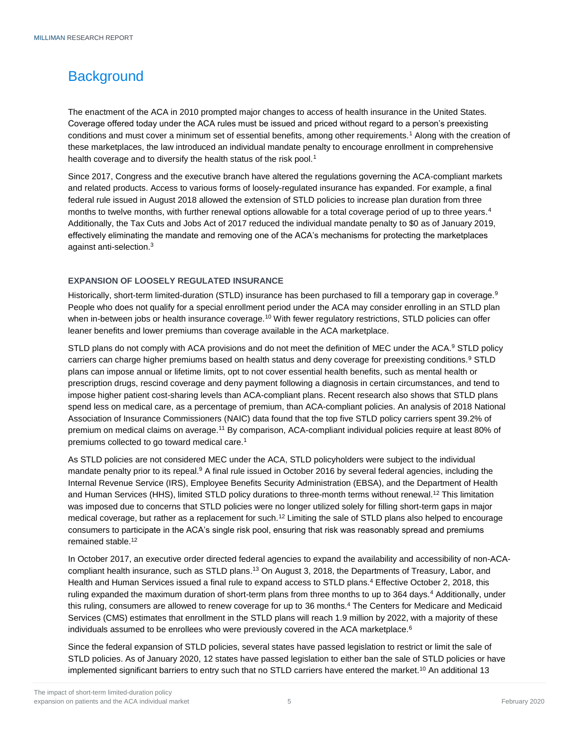# <span id="page-6-0"></span>**Background**

The enactment of the ACA in 2010 prompted major changes to access of health insurance in the United States. Coverage offered today under the ACA rules must be issued and priced without regard to a person's preexisting conditions and must cover a minimum set of essential benefits, among other requirements.<sup>1</sup> Along with the creation of these marketplaces, the law introduced an individual mandate penalty to encourage enrollment in comprehensive health coverage and to diversify the health status of the risk pool.<sup>1</sup>

Since 2017, Congress and the executive branch have altered the regulations governing the ACA-compliant markets and related products. Access to various forms of loosely-regulated insurance has expanded. For example, a final federal rule issued in August 2018 allowed the extension of STLD policies to increase plan duration from three months to twelve months, with further renewal options allowable for a total coverage period of up to three years.<sup>4</sup> Additionally, the Tax Cuts and Jobs Act of 2017 reduced the individual mandate penalty to \$0 as of January 2019, effectively eliminating the mandate and removing one of the ACA's mechanisms for protecting the marketplaces against anti-selection.<sup>3</sup>

### <span id="page-6-1"></span>**EXPANSION OF LOOSELY REGULATED INSURANCE**

Historically, short-term limited-duration (STLD) insurance has been purchased to fill a temporary gap in coverage.<sup>9</sup> People who does not qualify for a special enrollment period under the ACA may consider enrolling in an STLD plan when in-between jobs or health insurance coverage.<sup>10</sup> With fewer regulatory restrictions, STLD policies can offer leaner benefits and lower premiums than coverage available in the ACA marketplace.

STLD plans do not comply with ACA provisions and do not meet the definition of MEC under the ACA.<sup>9</sup> STLD policy carriers can charge higher premiums based on health status and deny coverage for preexisting conditions.<sup>9</sup> STLD plans can impose annual or lifetime limits, opt to not cover essential health benefits, such as mental health or prescription drugs, rescind coverage and deny payment following a diagnosis in certain circumstances, and tend to impose higher patient cost-sharing levels than ACA-compliant plans. Recent research also shows that STLD plans spend less on medical care, as a percentage of premium, than ACA-compliant policies. An analysis of 2018 National Association of Insurance Commissioners (NAIC) data found that the top five STLD policy carriers spent 39.2% of premium on medical claims on average.<sup>11</sup> By comparison, ACA-compliant individual policies require at least 80% of premiums collected to go toward medical care.<sup>1</sup>

As STLD policies are not considered MEC under the ACA, STLD policyholders were subject to the individual mandate penalty prior to its repeal.<sup>9</sup> A final rule issued in October 2016 by several federal agencies, including the Internal Revenue Service (IRS), Employee Benefits Security Administration (EBSA), and the Department of Health and Human Services (HHS), limited STLD policy durations to three-month terms without renewal.<sup>12</sup> This limitation was imposed due to concerns that STLD policies were no longer utilized solely for filling short-term gaps in major medical coverage, but rather as a replacement for such.<sup>12</sup> Limiting the sale of STLD plans also helped to encourage consumers to participate in the ACA's single risk pool, ensuring that risk was reasonably spread and premiums remained stable.<sup>12</sup>

In October 2017, an executive order directed federal agencies to expand the availability and accessibility of non-ACAcompliant health insurance, such as STLD plans.<sup>13</sup> On August 3, 2018, the Departments of Treasury, Labor, and Health and Human Services issued a final rule to expand access to STLD plans.<sup>4</sup> Effective October 2, 2018, this ruling expanded the maximum duration of short-term plans from three months to up to 364 days.<sup>4</sup> Additionally, under this ruling, consumers are allowed to renew coverage for up to 36 months.<sup>4</sup> The Centers for Medicare and Medicaid Services (CMS) estimates that enrollment in the STLD plans will reach 1.9 million by 2022, with a majority of these individuals assumed to be enrollees who were previously covered in the ACA marketplace.<sup>6</sup>

Since the federal expansion of STLD policies, several states have passed legislation to restrict or limit the sale of STLD policies. As of January 2020, 12 states have passed legislation to either ban the sale of STLD policies or have implemented significant barriers to entry such that no STLD carriers have entered the market.<sup>10</sup> An additional 13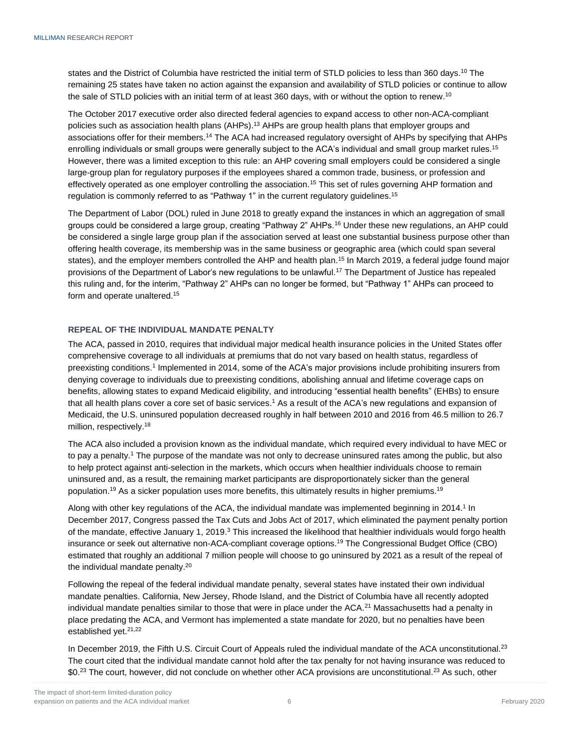states and the District of Columbia have restricted the initial term of STLD policies to less than 360 days.<sup>10</sup> The remaining 25 states have taken no action against the expansion and availability of STLD policies or continue to allow the sale of STLD policies with an initial term of at least 360 days, with or without the option to renew.<sup>10</sup>

The October 2017 executive order also directed federal agencies to expand access to other non-ACA-compliant policies such as association health plans (AHPs).<sup>13</sup> AHPs are group health plans that employer groups and associations offer for their members.<sup>14</sup> The ACA had increased regulatory oversight of AHPs by specifying that AHPs enrolling individuals or small groups were generally subject to the ACA's individual and small group market rules.<sup>15</sup> However, there was a limited exception to this rule: an AHP covering small employers could be considered a single large-group plan for regulatory purposes if the employees shared a common trade, business, or profession and effectively operated as one employer controlling the association.<sup>15</sup> This set of rules governing AHP formation and regulation is commonly referred to as "Pathway 1" in the current regulatory guidelines.<sup>15</sup>

The Department of Labor (DOL) ruled in June 2018 to greatly expand the instances in which an aggregation of small groups could be considered a large group, creating "Pathway 2" AHPs.<sup>16</sup> Under these new regulations, an AHP could be considered a single large group plan if the association served at least one substantial business purpose other than offering health coverage, its membership was in the same business or geographic area (which could span several states), and the employer members controlled the AHP and health plan.<sup>15</sup> In March 2019, a federal judge found major provisions of the Department of Labor's new regulations to be unlawful.<sup>17</sup> The Department of Justice has repealed this ruling and, for the interim, "Pathway 2" AHPs can no longer be formed, but "Pathway 1" AHPs can proceed to form and operate unaltered.<sup>15</sup>

#### <span id="page-7-0"></span>**REPEAL OF THE INDIVIDUAL MANDATE PENALTY**

The ACA, passed in 2010, requires that individual major medical health insurance policies in the United States offer comprehensive coverage to all individuals at premiums that do not vary based on health status, regardless of preexisting conditions.<sup>1</sup> Implemented in 2014, some of the ACA's major provisions include prohibiting insurers from denying coverage to individuals due to preexisting conditions, abolishing annual and lifetime coverage caps on benefits, allowing states to expand Medicaid eligibility, and introducing "essential health benefits" (EHBs) to ensure that all health plans cover a core set of basic services. <sup>1</sup> As a result of the ACA's new regulations and expansion of Medicaid, the U.S. uninsured population decreased roughly in half between 2010 and 2016 from 46.5 million to 26.7 million, respectively.<sup>18</sup>

The ACA also included a provision known as the individual mandate, which required every individual to have MEC or to pay a penalty. <sup>1</sup> The purpose of the mandate was not only to decrease uninsured rates among the public, but also to help protect against anti-selection in the markets, which occurs when healthier individuals choose to remain uninsured and, as a result, the remaining market participants are disproportionately sicker than the general population. <sup>19</sup> As a sicker population uses more benefits, this ultimately results in higher premiums.<sup>19</sup>

Along with other key regulations of the ACA, the individual mandate was implemented beginning in 2014.<sup>1</sup> In December 2017, Congress passed the Tax Cuts and Jobs Act of 2017, which eliminated the payment penalty portion of the mandate, effective January 1, 2019.<sup>3</sup> This increased the likelihood that healthier individuals would forgo health insurance or seek out alternative non-ACA-compliant coverage options. <sup>19</sup> The Congressional Budget Office (CBO) estimated that roughly an additional 7 million people will choose to go uninsured by 2021 as a result of the repeal of the individual mandate penalty.<sup>20</sup>

Following the repeal of the federal individual mandate penalty, several states have instated their own individual mandate penalties. California, New Jersey, Rhode Island, and the District of Columbia have all recently adopted individual mandate penalties similar to those that were in place under the  $ACA<sup>21</sup>$  Massachusetts had a penalty in place predating the ACA, and Vermont has implemented a state mandate for 2020, but no penalties have been established yet.<sup>21,22</sup>

In December 2019, the Fifth U.S. Circuit Court of Appeals ruled the individual mandate of the ACA unconstitutional.<sup>23</sup> The court cited that the individual mandate cannot hold after the tax penalty for not having insurance was reduced to \$0.<sup>23</sup> The court, however, did not conclude on whether other ACA provisions are unconstitutional.<sup>23</sup> As such, other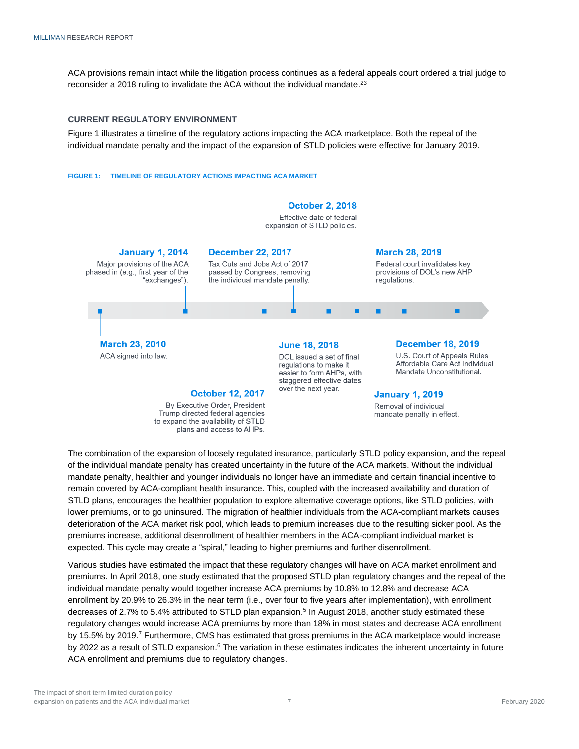ACA provisions remain intact while the litigation process continues as a federal appeals court ordered a trial judge to reconsider a 2018 ruling to invalidate the ACA without the individual mandate.<sup>23</sup>

#### <span id="page-8-0"></span>**CURRENT REGULATORY ENVIRONMENT**

Figure 1 illustrates a timeline of the regulatory actions impacting the ACA marketplace. Both the repeal of the individual mandate penalty and the impact of the expansion of STLD policies were effective for January 2019.

#### **FIGURE 1: TIMELINE OF REGULATORY ACTIONS IMPACTING ACA MARKET**



The combination of the expansion of loosely regulated insurance, particularly STLD policy expansion, and the repeal of the individual mandate penalty has created uncertainty in the future of the ACA markets. Without the individual mandate penalty, healthier and younger individuals no longer have an immediate and certain financial incentive to remain covered by ACA-compliant health insurance. This, coupled with the increased availability and duration of STLD plans, encourages the healthier population to explore alternative coverage options, like STLD policies, with lower premiums, or to go uninsured. The migration of healthier individuals from the ACA-compliant markets causes deterioration of the ACA market risk pool, which leads to premium increases due to the resulting sicker pool. As the premiums increase, additional disenrollment of healthier members in the ACA-compliant individual market is expected. This cycle may create a "spiral," leading to higher premiums and further disenrollment.

Various studies have estimated the impact that these regulatory changes will have on ACA market enrollment and premiums. In April 2018, one study estimated that the proposed STLD plan regulatory changes and the repeal of the individual mandate penalty would together increase ACA premiums by 10.8% to 12.8% and decrease ACA enrollment by 20.9% to 26.3% in the near term (i.e., over four to five years after implementation), with enrollment decreases of 2.7% to 5.4% attributed to STLD plan expansion. 5 In August 2018, another study estimated these regulatory changes would increase ACA premiums by more than 18% in most states and decrease ACA enrollment by 15.5% by 2019.<sup>7</sup> Furthermore, CMS has estimated that gross premiums in the ACA marketplace would increase by 2022 as a result of STLD expansion.<sup>6</sup> The variation in these estimates indicates the inherent uncertainty in future ACA enrollment and premiums due to regulatory changes.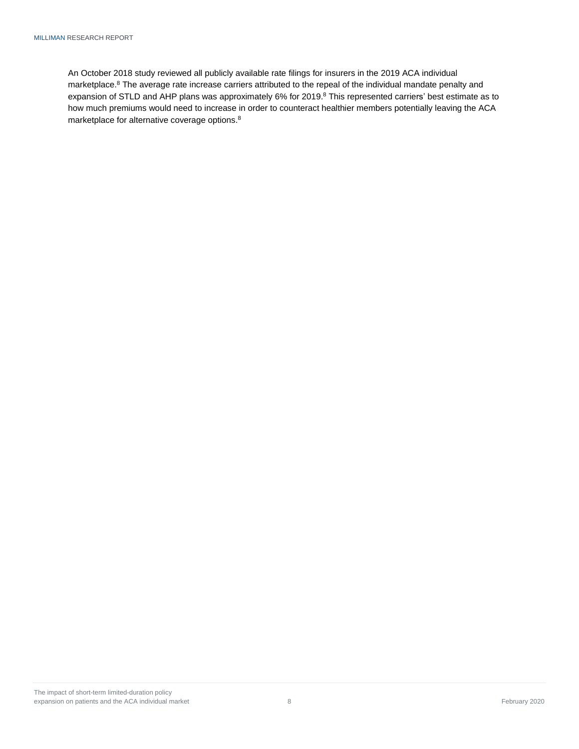An October 2018 study reviewed all publicly available rate filings for insurers in the 2019 ACA individual marketplace.<sup>8</sup> The average rate increase carriers attributed to the repeal of the individual mandate penalty and expansion of STLD and AHP plans was approximately 6% for 2019.<sup>8</sup> This represented carriers' best estimate as to how much premiums would need to increase in order to counteract healthier members potentially leaving the ACA marketplace for alternative coverage options.<sup>8</sup>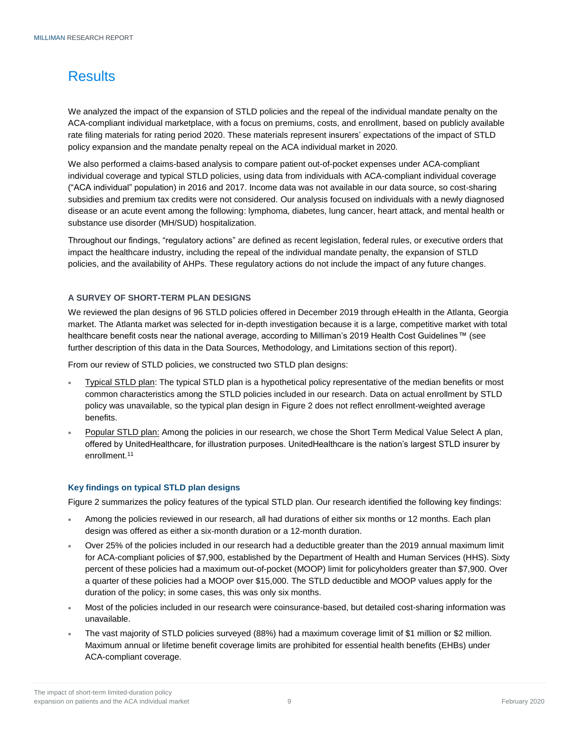# <span id="page-10-0"></span>**Results**

We analyzed the impact of the expansion of STLD policies and the repeal of the individual mandate penalty on the ACA-compliant individual marketplace, with a focus on premiums, costs, and enrollment, based on publicly available rate filing materials for rating period 2020. These materials represent insurers' expectations of the impact of STLD policy expansion and the mandate penalty repeal on the ACA individual market in 2020.

We also performed a claims-based analysis to compare patient out-of-pocket expenses under ACA-compliant individual coverage and typical STLD policies, using data from individuals with ACA-compliant individual coverage ("ACA individual" population) in 2016 and 2017. Income data was not available in our data source, so cost-sharing subsidies and premium tax credits were not considered. Our analysis focused on individuals with a newly diagnosed disease or an acute event among the following: lymphoma, diabetes, lung cancer, heart attack, and mental health or substance use disorder (MH/SUD) hospitalization.

Throughout our findings, "regulatory actions" are defined as recent legislation, federal rules, or executive orders that impact the healthcare industry, including the repeal of the individual mandate penalty, the expansion of STLD policies, and the availability of AHPs. These regulatory actions do not include the impact of any future changes.

#### <span id="page-10-1"></span>**A SURVEY OF SHORT-TERM PLAN DESIGNS**

We reviewed the plan designs of 96 STLD policies offered in December 2019 through eHealth in the Atlanta, Georgia market. The Atlanta market was selected for in-depth investigation because it is a large, competitive market with total healthcare benefit costs near the national average, according to Milliman's 2019 Health Cost Guidelines™ (see further description of this data in the Data Sources, Methodology, and Limitations section of this report).

From our review of STLD policies, we constructed two STLD plan designs:

- Typical STLD plan: The typical STLD plan is a hypothetical policy representative of the median benefits or most common characteristics among the STLD policies included in our research. Data on actual enrollment by STLD policy was unavailable, so the typical plan design in Figure 2 does not reflect enrollment-weighted average benefits.
- Popular STLD plan: Among the policies in our research, we chose the Short Term Medical Value Select A plan, offered by UnitedHealthcare, for illustration purposes. UnitedHealthcare is the nation's largest STLD insurer by enrollment.<sup>11</sup>

#### **Key findings on typical STLD plan designs**

Figure 2 summarizes the policy features of the typical STLD plan. Our research identified the following key findings:

- Among the policies reviewed in our research, all had durations of either six months or 12 months. Each plan design was offered as either a six-month duration or a 12-month duration.
- Over 25% of the policies included in our research had a deductible greater than the 2019 annual maximum limit for ACA-compliant policies of \$7,900, established by the Department of Health and Human Services (HHS). Sixty percent of these policies had a maximum out-of-pocket (MOOP) limit for policyholders greater than \$7,900. Over a quarter of these policies had a MOOP over \$15,000. The STLD deductible and MOOP values apply for the duration of the policy; in some cases, this was only six months.
- Most of the policies included in our research were coinsurance-based, but detailed cost-sharing information was unavailable.
- The vast majority of STLD policies surveyed (88%) had a maximum coverage limit of \$1 million or \$2 million. Maximum annual or lifetime benefit coverage limits are prohibited for essential health benefits (EHBs) under ACA-compliant coverage.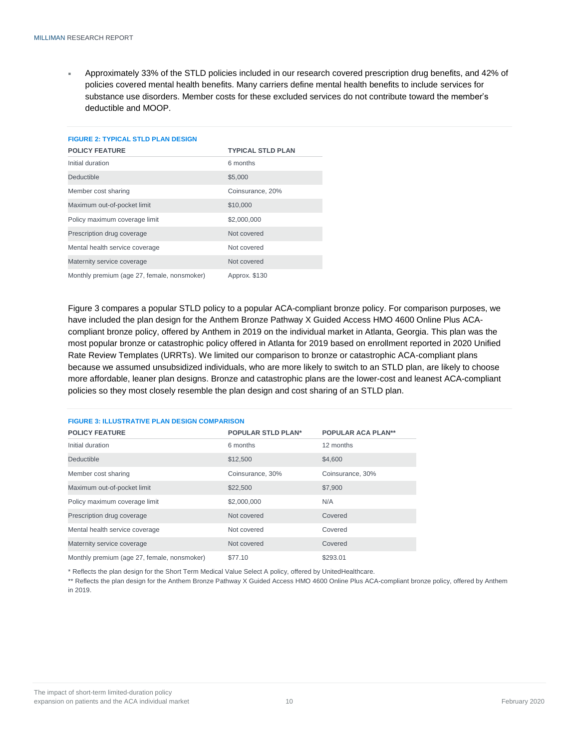Approximately 33% of the STLD policies included in our research covered prescription drug benefits, and 42% of policies covered mental health benefits. Many carriers define mental health benefits to include services for substance use disorders. Member costs for these excluded services do not contribute toward the member's deductible and MOOP.

| <b>FIGURE 2: TYPICAL STLD PLAN DESIGN</b>   |                          |
|---------------------------------------------|--------------------------|
| <b>POLICY FEATURE</b>                       | <b>TYPICAL STLD PLAN</b> |
| Initial duration                            | 6 months                 |
| <b>Deductible</b>                           | \$5,000                  |
| Member cost sharing                         | Coinsurance, 20%         |
| Maximum out-of-pocket limit                 | \$10,000                 |
| Policy maximum coverage limit               | \$2,000,000              |
| Prescription drug coverage                  | Not covered              |
| Mental health service coverage              | Not covered              |
| Maternity service coverage                  | Not covered              |
| Monthly premium (age 27, female, nonsmoker) | Approx. \$130            |

Figure 3 compares a popular STLD policy to a popular ACA-compliant bronze policy. For comparison purposes, we have included the plan design for the Anthem Bronze Pathway X Guided Access HMO 4600 Online Plus ACAcompliant bronze policy, offered by Anthem in 2019 on the individual market in Atlanta, Georgia. This plan was the most popular bronze or catastrophic policy offered in Atlanta for 2019 based on enrollment reported in 2020 Unified Rate Review Templates (URRTs). We limited our comparison to bronze or catastrophic ACA-compliant plans because we assumed unsubsidized individuals, who are more likely to switch to an STLD plan, are likely to choose more affordable, leaner plan designs. Bronze and catastrophic plans are the lower-cost and leanest ACA-compliant policies so they most closely resemble the plan design and cost sharing of an STLD plan.

#### **FIGURE 3: ILLUSTRATIVE PLAN DESIGN COMPARISON**

| <b>POLICY FEATURE</b>                       | <b>POPULAR STLD PLAN*</b> | <b>POPULAR ACA PLAN**</b> |
|---------------------------------------------|---------------------------|---------------------------|
| Initial duration                            | 6 months                  | 12 months                 |
| <b>Deductible</b>                           | \$12,500                  | \$4,600                   |
| Member cost sharing                         | Coinsurance, 30%          | Coinsurance, 30%          |
| Maximum out-of-pocket limit                 | \$22,500                  | \$7,900                   |
| Policy maximum coverage limit               | \$2,000,000               | N/A                       |
| Prescription drug coverage                  | Not covered               | Covered                   |
| Mental health service coverage              | Not covered               | Covered                   |
| Maternity service coverage                  | Not covered               | Covered                   |
| Monthly premium (age 27, female, nonsmoker) | \$77.10                   | \$293.01                  |

\* Reflects the plan design for the Short Term Medical Value Select A policy, offered by UnitedHealthcare.

\*\* Reflects the plan design for the Anthem Bronze Pathway X Guided Access HMO 4600 Online Plus ACA-compliant bronze policy, offered by Anthem in 2019.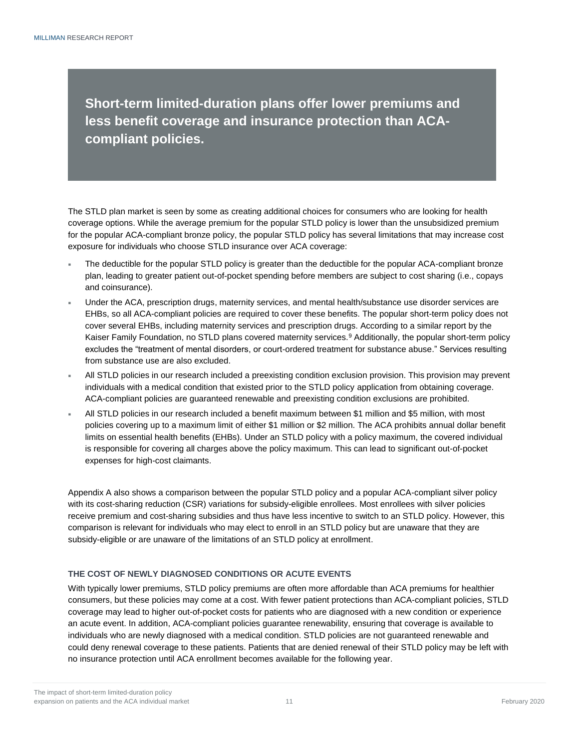**Short-term limited-duration plans offer lower premiums and less benefit coverage and insurance protection than ACAcompliant policies.**

The STLD plan market is seen by some as creating additional choices for consumers who are looking for health coverage options. While the average premium for the popular STLD policy is lower than the unsubsidized premium for the popular ACA-compliant bronze policy, the popular STLD policy has several limitations that may increase cost exposure for individuals who choose STLD insurance over ACA coverage:

- The deductible for the popular STLD policy is greater than the deductible for the popular ACA-compliant bronze plan, leading to greater patient out-of-pocket spending before members are subject to cost sharing (i.e., copays and coinsurance).
- Under the ACA, prescription drugs, maternity services, and mental health/substance use disorder services are EHBs, so all ACA-compliant policies are required to cover these benefits. The popular short-term policy does not cover several EHBs, including maternity services and prescription drugs. According to a similar report by the Kaiser Family Foundation, no STLD plans covered maternity services.<sup>9</sup> Additionally, the popular short-term policy excludes the "treatment of mental disorders, or court-ordered treatment for substance abuse." Services resulting from substance use are also excluded.
- All STLD policies in our research included a preexisting condition exclusion provision. This provision may prevent individuals with a medical condition that existed prior to the STLD policy application from obtaining coverage. ACA-compliant policies are guaranteed renewable and preexisting condition exclusions are prohibited.
- All STLD policies in our research included a benefit maximum between \$1 million and \$5 million, with most policies covering up to a maximum limit of either \$1 million or \$2 million. The ACA prohibits annual dollar benefit limits on essential health benefits (EHBs). Under an STLD policy with a policy maximum, the covered individual is responsible for covering all charges above the policy maximum. This can lead to significant out-of-pocket expenses for high-cost claimants.

Appendix A also shows a comparison between the popular STLD policy and a popular ACA-compliant silver policy with its cost-sharing reduction (CSR) variations for subsidy-eligible enrollees. Most enrollees with silver policies receive premium and cost-sharing subsidies and thus have less incentive to switch to an STLD policy. However, this comparison is relevant for individuals who may elect to enroll in an STLD policy but are unaware that they are subsidy-eligible or are unaware of the limitations of an STLD policy at enrollment.

### <span id="page-12-0"></span>**THE COST OF NEWLY DIAGNOSED CONDITIONS OR ACUTE EVENTS**

With typically lower premiums, STLD policy premiums are often more affordable than ACA premiums for healthier consumers, but these policies may come at a cost. With fewer patient protections than ACA-compliant policies, STLD coverage may lead to higher out-of-pocket costs for patients who are diagnosed with a new condition or experience an acute event. In addition, ACA-compliant policies guarantee renewability, ensuring that coverage is available to individuals who are newly diagnosed with a medical condition. STLD policies are not guaranteed renewable and could deny renewal coverage to these patients. Patients that are denied renewal of their STLD policy may be left with no insurance protection until ACA enrollment becomes available for the following year.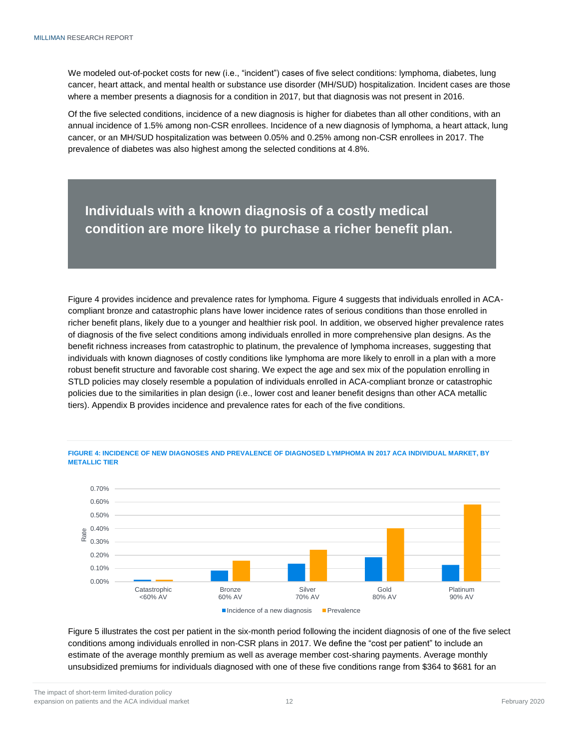We modeled out-of-pocket costs for new (i.e., "incident") cases of five select conditions: lymphoma, diabetes, lung cancer, heart attack, and mental health or substance use disorder (MH/SUD) hospitalization. Incident cases are those where a member presents a diagnosis for a condition in 2017, but that diagnosis was not present in 2016.

Of the five selected conditions, incidence of a new diagnosis is higher for diabetes than all other conditions, with an annual incidence of 1.5% among non-CSR enrollees. Incidence of a new diagnosis of lymphoma, a heart attack, lung cancer, or an MH/SUD hospitalization was between 0.05% and 0.25% among non-CSR enrollees in 2017. The prevalence of diabetes was also highest among the selected conditions at 4.8%.

## **Individuals with a known diagnosis of a costly medical condition are more likely to purchase a richer benefit plan.**

Figure 4 provides incidence and prevalence rates for lymphoma. Figure 4 suggests that individuals enrolled in ACAcompliant bronze and catastrophic plans have lower incidence rates of serious conditions than those enrolled in richer benefit plans, likely due to a younger and healthier risk pool. In addition, we observed higher prevalence rates of diagnosis of the five select conditions among individuals enrolled in more comprehensive plan designs. As the benefit richness increases from catastrophic to platinum, the prevalence of lymphoma increases, suggesting that individuals with known diagnoses of costly conditions like lymphoma are more likely to enroll in a plan with a more robust benefit structure and favorable cost sharing. We expect the age and sex mix of the population enrolling in STLD policies may closely resemble a population of individuals enrolled in ACA-compliant bronze or catastrophic policies due to the similarities in plan design (i.e., lower cost and leaner benefit designs than other ACA metallic tiers). Appendix B provides incidence and prevalence rates for each of the five conditions.



**FIGURE 4: INCIDENCE OF NEW DIAGNOSES AND PREVALENCE OF DIAGNOSED LYMPHOMA IN 2017 ACA INDIVIDUAL MARKET, BY METALLIC TIER**

Figure 5 illustrates the cost per patient in the six-month period following the incident diagnosis of one of the five select conditions among individuals enrolled in non-CSR plans in 2017. We define the "cost per patient" to include an estimate of the average monthly premium as well as average member cost-sharing payments. Average monthly unsubsidized premiums for individuals diagnosed with one of these five conditions range from \$364 to \$681 for an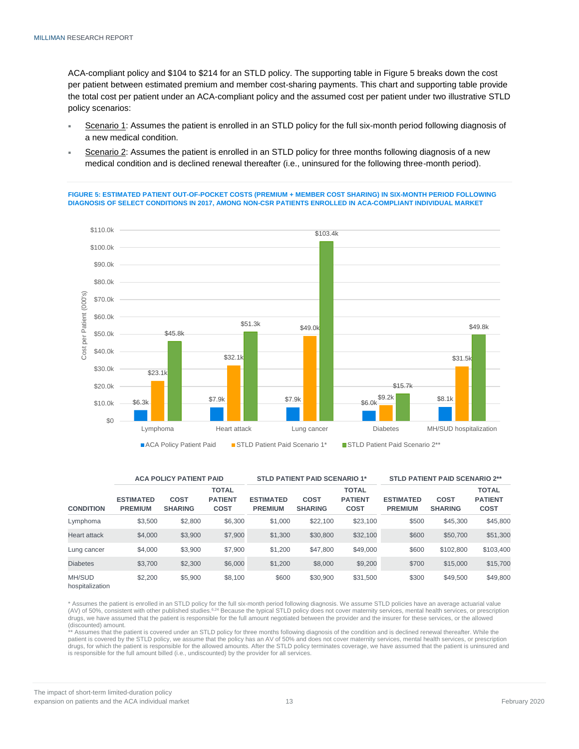ACA-compliant policy and \$104 to \$214 for an STLD policy. The supporting table in Figure 5 breaks down the cost per patient between estimated premium and member cost-sharing payments. This chart and supporting table provide the total cost per patient under an ACA-compliant policy and the assumed cost per patient under two illustrative STLD policy scenarios:

- Scenario 1: Assumes the patient is enrolled in an STLD policy for the full six-month period following diagnosis of a new medical condition.
- Scenario 2: Assumes the patient is enrolled in an STLD policy for three months following diagnosis of a new medical condition and is declined renewal thereafter (i.e., uninsured for the following three-month period).

**FIGURE 5: ESTIMATED PATIENT OUT-OF-POCKET COSTS (PREMIUM + MEMBER COST SHARING) IN SIX-MONTH PERIOD FOLLOWING DIAGNOSIS OF SELECT CONDITIONS IN 2017, AMONG NON-CSR PATIENTS ENROLLED IN ACA-COMPLIANT INDIVIDUAL MARKET** 



|                           |                                    | <b>STLD PATIENT PAID SCENARIO 2**</b><br><b>ACA POLICY PATIENT PAID</b><br><b>STLD PATIENT PAID SCENARIO 1*</b> |                                               |                                    |                               |                                               |                                    |                        |                                               |
|---------------------------|------------------------------------|-----------------------------------------------------------------------------------------------------------------|-----------------------------------------------|------------------------------------|-------------------------------|-----------------------------------------------|------------------------------------|------------------------|-----------------------------------------------|
| <b>CONDITION</b>          | <b>ESTIMATED</b><br><b>PREMIUM</b> | <b>COST</b><br><b>SHARING</b>                                                                                   | <b>TOTAL</b><br><b>PATIENT</b><br><b>COST</b> | <b>ESTIMATED</b><br><b>PREMIUM</b> | <b>COST</b><br><b>SHARING</b> | <b>TOTAL</b><br><b>PATIENT</b><br><b>COST</b> | <b>ESTIMATED</b><br><b>PREMIUM</b> | COST<br><b>SHARING</b> | <b>TOTAL</b><br><b>PATIENT</b><br><b>COST</b> |
| Lymphoma                  | \$3,500                            | \$2,800                                                                                                         | \$6,300                                       | \$1,000                            | \$22,100                      | \$23,100                                      | \$500                              | \$45,300               | \$45,800                                      |
| <b>Heart attack</b>       | \$4,000                            | \$3,900                                                                                                         | \$7,900                                       | \$1,300                            | \$30,800                      | \$32,100                                      | \$600                              | \$50,700               | \$51,300                                      |
| Lung cancer               | \$4,000                            | \$3,900                                                                                                         | \$7,900                                       | \$1,200                            | \$47,800                      | \$49,000                                      | \$600                              | \$102.800              | \$103,400                                     |
| <b>Diabetes</b>           | \$3.700                            | \$2,300                                                                                                         | \$6,000                                       | \$1,200                            | \$8,000                       | \$9,200                                       | \$700                              | \$15,000               | \$15,700                                      |
| MH/SUD<br>hospitalization | \$2,200                            | \$5,900                                                                                                         | \$8,100                                       | \$600                              | \$30,900                      | \$31,500                                      | \$300                              | \$49,500               | \$49,800                                      |

\* Assumes the patient is enrolled in an STLD policy for the full six-month period following diagnosis. We assume STLD policies have an average actuarial value<br>(AV) of 50%, consistent with other published studies.<sup>6,24</sup> Bec drugs, we have assumed that the patient is responsible for the full amount negotiated between the provider and the insurer for these services, or the allowed (discounted) amount.

\*\* Assumes that the patient is covered under an STLD policy for three months following diagnosis of the condition and is declined renewal thereafter. While the patient is covered by the STLD policy, we assume that the policy has an AV of 50% and does not cover maternity services, mental health services, or prescription drugs, for which the patient is responsible for the allowed amounts. After the STLD policy terminates coverage, we have assumed that the patient is uninsured and is responsible for the full amount billed (i.e., undiscounted) by the provider for all services.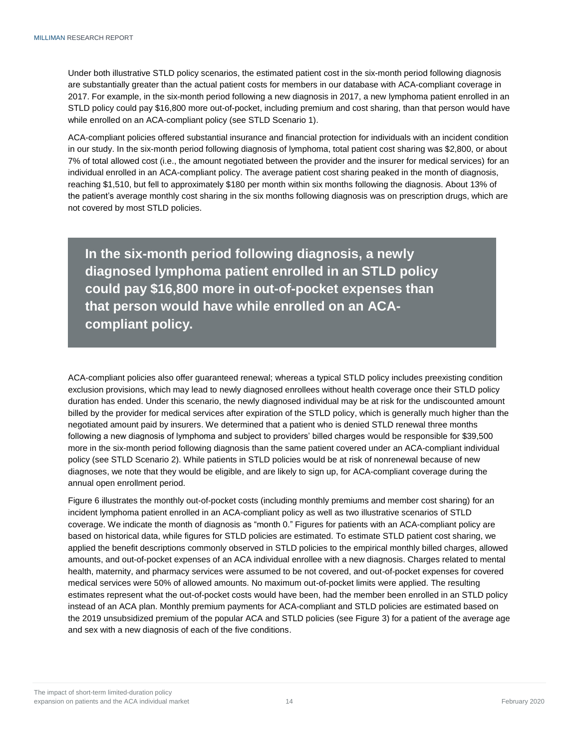Under both illustrative STLD policy scenarios, the estimated patient cost in the six-month period following diagnosis are substantially greater than the actual patient costs for members in our database with ACA-compliant coverage in 2017. For example, in the six-month period following a new diagnosis in 2017, a new lymphoma patient enrolled in an STLD policy could pay \$16,800 more out-of-pocket, including premium and cost sharing, than that person would have while enrolled on an ACA-compliant policy (see STLD Scenario 1).

ACA-compliant policies offered substantial insurance and financial protection for individuals with an incident condition in our study. In the six-month period following diagnosis of lymphoma, total patient cost sharing was \$2,800, or about 7% of total allowed cost (i.e., the amount negotiated between the provider and the insurer for medical services) for an individual enrolled in an ACA-compliant policy. The average patient cost sharing peaked in the month of diagnosis, reaching \$1,510, but fell to approximately \$180 per month within six months following the diagnosis. About 13% of the patient's average monthly cost sharing in the six months following diagnosis was on prescription drugs, which are not covered by most STLD policies.

**In the six-month period following diagnosis, a newly diagnosed lymphoma patient enrolled in an STLD policy could pay \$16,800 more in out-of-pocket expenses than that person would have while enrolled on an ACAcompliant policy.** 

ACA-compliant policies also offer guaranteed renewal; whereas a typical STLD policy includes preexisting condition exclusion provisions, which may lead to newly diagnosed enrollees without health coverage once their STLD policy duration has ended. Under this scenario, the newly diagnosed individual may be at risk for the undiscounted amount billed by the provider for medical services after expiration of the STLD policy, which is generally much higher than the negotiated amount paid by insurers. We determined that a patient who is denied STLD renewal three months following a new diagnosis of lymphoma and subject to providers' billed charges would be responsible for \$39,500 more in the six-month period following diagnosis than the same patient covered under an ACA-compliant individual policy (see STLD Scenario 2). While patients in STLD policies would be at risk of nonrenewal because of new diagnoses, we note that they would be eligible, and are likely to sign up, for ACA-compliant coverage during the annual open enrollment period.

Figure 6 illustrates the monthly out-of-pocket costs (including monthly premiums and member cost sharing) for an incident lymphoma patient enrolled in an ACA-compliant policy as well as two illustrative scenarios of STLD coverage. We indicate the month of diagnosis as "month 0." Figures for patients with an ACA-compliant policy are based on historical data, while figures for STLD policies are estimated. To estimate STLD patient cost sharing, we applied the benefit descriptions commonly observed in STLD policies to the empirical monthly billed charges, allowed amounts, and out-of-pocket expenses of an ACA individual enrollee with a new diagnosis. Charges related to mental health, maternity, and pharmacy services were assumed to be not covered, and out-of-pocket expenses for covered medical services were 50% of allowed amounts. No maximum out-of-pocket limits were applied. The resulting estimates represent what the out-of-pocket costs would have been, had the member been enrolled in an STLD policy instead of an ACA plan. Monthly premium payments for ACA-compliant and STLD policies are estimated based on the 2019 unsubsidized premium of the popular ACA and STLD policies (see Figure 3) for a patient of the average age and sex with a new diagnosis of each of the five conditions.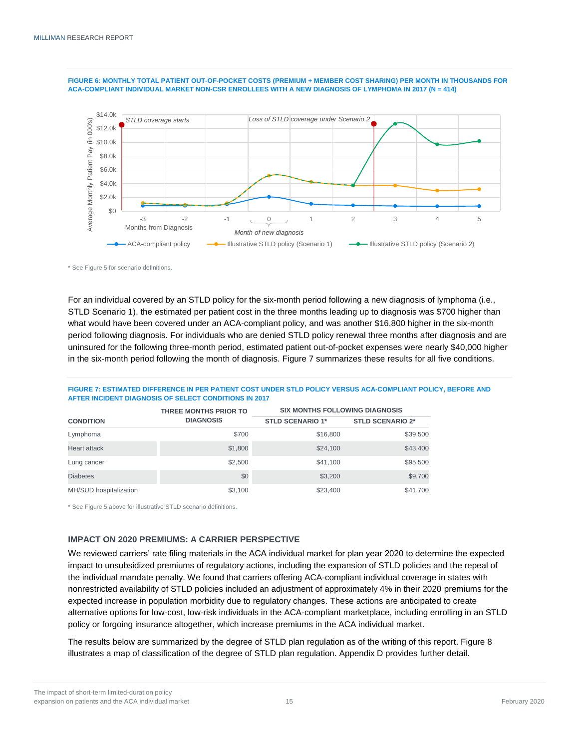



\* See Figure 5 for scenario definitions.

For an individual covered by an STLD policy for the six-month period following a new diagnosis of lymphoma (i.e., STLD Scenario 1), the estimated per patient cost in the three months leading up to diagnosis was \$700 higher than what would have been covered under an ACA-compliant policy, and was another \$16,800 higher in the six-month period following diagnosis. For individuals who are denied STLD policy renewal three months after diagnosis and are uninsured for the following three-month period, estimated patient out-of-pocket expenses were nearly \$40,000 higher in the six-month period following the month of diagnosis. Figure 7 summarizes these results for all five conditions.

|                  | AFTER INCIDENT DIAGNOSIS OF SELECT CONDITIONS IN 2017 |                                       |                         |  |
|------------------|-------------------------------------------------------|---------------------------------------|-------------------------|--|
|                  | THREE MONTHS PRIOR TO                                 | <b>SIX MONTHS FOLLOWING DIAGNOSIS</b> |                         |  |
| <b>CONDITION</b> | <b>DIAGNOSIS</b>                                      | <b>STLD SCENARIO 1*</b>               | <b>STLD SCENARIO 2*</b> |  |
|                  |                                                       |                                       |                         |  |

**FIGURE 7: ESTIMATED DIFFERENCE IN PER PATIENT COST UNDER STLD POLICY VERSUS ACA-COMPLIANT POLICY, BEFORE AND** 

|                        | THREE MONTHS PRIOR TO | <b>SIX MONTHS FOLLOWING DIAGNOSIS</b> |                         |  |  |
|------------------------|-----------------------|---------------------------------------|-------------------------|--|--|
| <b>CONDITION</b>       | <b>DIAGNOSIS</b>      | <b>STLD SCENARIO 1*</b>               | <b>STLD SCENARIO 2*</b> |  |  |
| Lymphoma               | \$700                 | \$16,800                              | \$39,500                |  |  |
| <b>Heart attack</b>    | \$1,800               | \$24,100                              | \$43,400                |  |  |
| Lung cancer            | \$2.500               | \$41.100                              | \$95,500                |  |  |
| <b>Diabetes</b>        | \$0                   | \$3,200                               | \$9,700                 |  |  |
| MH/SUD hospitalization | \$3.100               | \$23,400                              | \$41.700                |  |  |

\* See Figure 5 above for illustrative STLD scenario definitions.

#### <span id="page-16-0"></span>**IMPACT ON 2020 PREMIUMS: A CARRIER PERSPECTIVE**

We reviewed carriers' rate filing materials in the ACA individual market for plan year 2020 to determine the expected impact to unsubsidized premiums of regulatory actions, including the expansion of STLD policies and the repeal of the individual mandate penalty. We found that carriers offering ACA-compliant individual coverage in states with nonrestricted availability of STLD policies included an adjustment of approximately 4% in their 2020 premiums for the expected increase in population morbidity due to regulatory changes. These actions are anticipated to create alternative options for low-cost, low-risk individuals in the ACA-compliant marketplace, including enrolling in an STLD policy or forgoing insurance altogether, which increase premiums in the ACA individual market.

The results below are summarized by the degree of STLD plan regulation as of the writing of this report. Figure 8 illustrates a map of classification of the degree of STLD plan regulation. Appendix D provides further detail.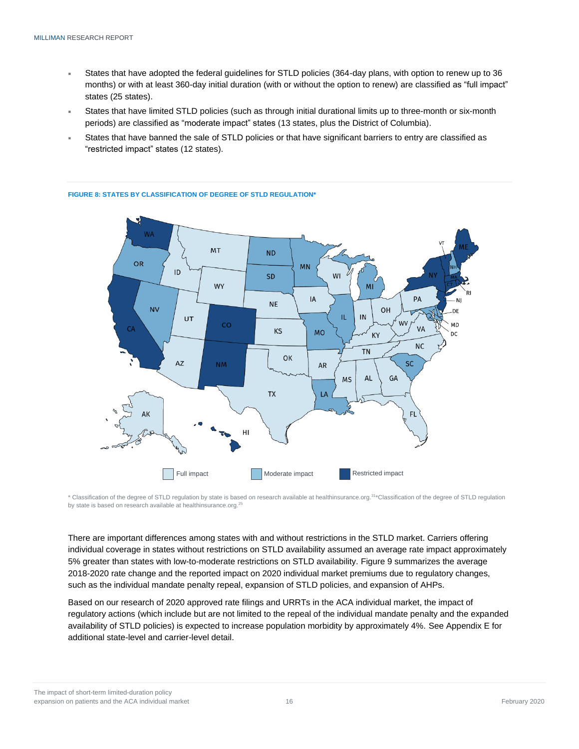- States that have adopted the federal guidelines for STLD policies (364-day plans, with option to renew up to 36 months) or with at least 360-day initial duration (with or without the option to renew) are classified as "full impact" states (25 states).
- States that have limited STLD policies (such as through initial durational limits up to three-month or six-month periods) are classified as "moderate impact" states (13 states, plus the District of Columbia).
- States that have banned the sale of STLD policies or that have significant barriers to entry are classified as "restricted impact" states (12 states).



#### **FIGURE 8: STATES BY CLASSIFICATION OF DEGREE OF STLD REGULATION\***

\* Classification of the degree of STLD regulation by state is based on research available at healthinsurance.org.<sup>31</sup>\*Classification of the degree of STLD regulation by state is based on research available at healthinsurance.org.<sup>25</sup>

There are important differences among states with and without restrictions in the STLD market. Carriers offering individual coverage in states without restrictions on STLD availability assumed an average rate impact approximately 5% greater than states with low-to-moderate restrictions on STLD availability. Figure 9 summarizes the average 2018-2020 rate change and the reported impact on 2020 individual market premiums due to regulatory changes, such as the individual mandate penalty repeal, expansion of STLD policies, and expansion of AHPs.

Based on our research of 2020 approved rate filings and URRTs in the ACA individual market, the impact of regulatory actions (which include but are not limited to the repeal of the individual mandate penalty and the expanded availability of STLD policies) is expected to increase population morbidity by approximately 4%. See Appendix E for additional state-level and carrier-level detail.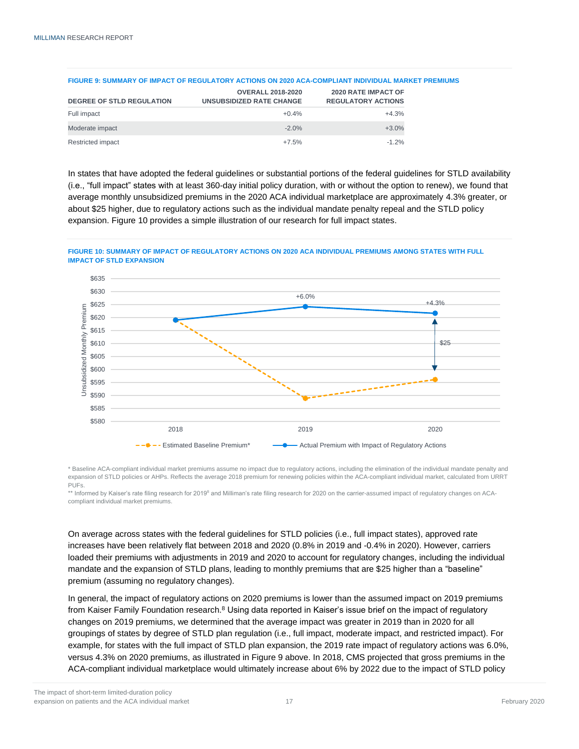| <b>DEGREE OF STLD REGULATION</b> | <b>OVERALL 2018-2020</b><br><b>UNSUBSIDIZED RATE CHANGE</b> | <b>2020 RATE IMPACT OF</b><br><b>REGULATORY ACTIONS</b> |
|----------------------------------|-------------------------------------------------------------|---------------------------------------------------------|
| Full impact                      | $+0.4%$                                                     | $+4.3%$                                                 |
| Moderate impact                  | $-2.0%$                                                     | $+3.0%$                                                 |
| Restricted impact                | $+7.5%$                                                     | $-1.2\%$                                                |

#### **FIGURE 9: SUMMARY OF IMPACT OF REGULATORY ACTIONS ON 2020 ACA-COMPLIANT INDIVIDUAL MARKET PREMIUMS**

In states that have adopted the federal guidelines or substantial portions of the federal guidelines for STLD availability (i.e., "full impact" states with at least 360-day initial policy duration, with or without the option to renew), we found that average monthly unsubsidized premiums in the 2020 ACA individual marketplace are approximately 4.3% greater, or about \$25 higher, due to regulatory actions such as the individual mandate penalty repeal and the STLD policy expansion. Figure 10 provides a simple illustration of our research for full impact states.

#### **FIGURE 10: SUMMARY OF IMPACT OF REGULATORY ACTIONS ON 2020 ACA INDIVIDUAL PREMIUMS AMONG STATES WITH FULL IMPACT OF STLD EXPANSION**



\* Baseline ACA-compliant individual market premiums assume no impact due to regulatory actions, including the elimination of the individual mandate penalty and expansion of STLD policies or AHPs. Reflects the average 2018 premium for renewing policies within the ACA-compliant individual market, calculated from URRT PUFs.

\*\* Informed by Kaiser's rate filing research for 2019<sup>8</sup> and Milliman's rate filing research for 2020 on the carrier-assumed impact of regulatory changes on ACAcompliant individual market premiums.

On average across states with the federal guidelines for STLD policies (i.e., full impact states), approved rate increases have been relatively flat between 2018 and 2020 (0.8% in 2019 and -0.4% in 2020). However, carriers loaded their premiums with adjustments in 2019 and 2020 to account for regulatory changes, including the individual mandate and the expansion of STLD plans, leading to monthly premiums that are \$25 higher than a "baseline" premium (assuming no regulatory changes).

In general, the impact of regulatory actions on 2020 premiums is lower than the assumed impact on 2019 premiums from Kaiser Family Foundation research.<sup>8</sup> Using data reported in Kaiser's issue brief on the impact of regulatory changes on 2019 premiums, we determined that the average impact was greater in 2019 than in 2020 for all groupings of states by degree of STLD plan regulation (i.e., full impact, moderate impact, and restricted impact). For example, for states with the full impact of STLD plan expansion, the 2019 rate impact of regulatory actions was 6.0%, versus 4.3% on 2020 premiums, as illustrated in Figure 9 above. In 2018, CMS projected that gross premiums in the ACA-compliant individual marketplace would ultimately increase about 6% by 2022 due to the impact of STLD policy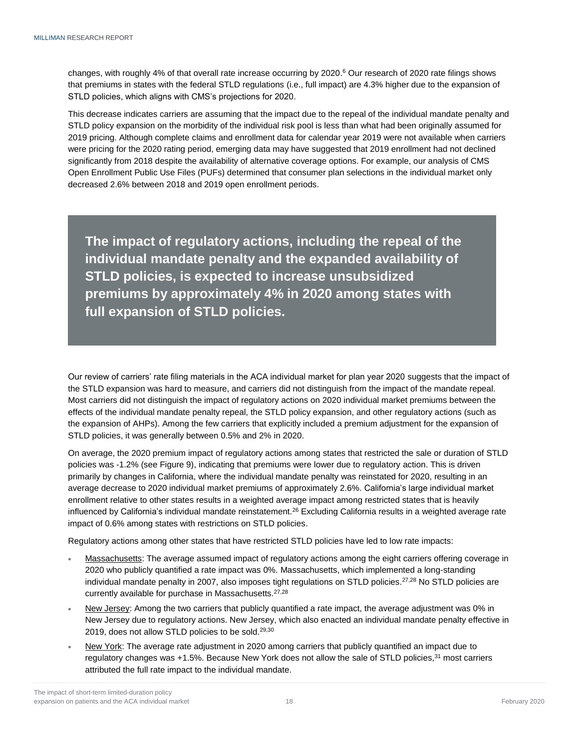changes, with roughly 4% of that overall rate increase occurring by 2020. <sup>6</sup> Our research of 2020 rate filings shows that premiums in states with the federal STLD regulations (i.e., full impact) are 4.3% higher due to the expansion of STLD policies, which aligns with CMS's projections for 2020.

This decrease indicates carriers are assuming that the impact due to the repeal of the individual mandate penalty and STLD policy expansion on the morbidity of the individual risk pool is less than what had been originally assumed for 2019 pricing. Although complete claims and enrollment data for calendar year 2019 were not available when carriers were pricing for the 2020 rating period, emerging data may have suggested that 2019 enrollment had not declined significantly from 2018 despite the availability of alternative coverage options. For example, our analysis of CMS Open Enrollment Public Use Files (PUFs) determined that consumer plan selections in the individual market only decreased 2.6% between 2018 and 2019 open enrollment periods.

**The impact of regulatory actions, including the repeal of the individual mandate penalty and the expanded availability of STLD policies, is expected to increase unsubsidized premiums by approximately 4% in 2020 among states with full expansion of STLD policies.** 

Our review of carriers' rate filing materials in the ACA individual market for plan year 2020 suggests that the impact of the STLD expansion was hard to measure, and carriers did not distinguish from the impact of the mandate repeal. Most carriers did not distinguish the impact of regulatory actions on 2020 individual market premiums between the effects of the individual mandate penalty repeal, the STLD policy expansion, and other regulatory actions (such as the expansion of AHPs). Among the few carriers that explicitly included a premium adjustment for the expansion of STLD policies, it was generally between 0.5% and 2% in 2020.

On average, the 2020 premium impact of regulatory actions among states that restricted the sale or duration of STLD policies was -1.2% (see Figure 9), indicating that premiums were lower due to regulatory action. This is driven primarily by changes in California, where the individual mandate penalty was reinstated for 2020, resulting in an average decrease to 2020 individual market premiums of approximately 2.6%. California's large individual market enrollment relative to other states results in a weighted average impact among restricted states that is heavily influenced by California's individual mandate reinstatement.<sup>26</sup> Excluding California results in a weighted average rate impact of 0.6% among states with restrictions on STLD policies.

Regulatory actions among other states that have restricted STLD policies have led to low rate impacts:

- Massachusetts: The average assumed impact of regulatory actions among the eight carriers offering coverage in 2020 who publicly quantified a rate impact was 0%. Massachusetts, which implemented a long-standing individual mandate penalty in 2007, also imposes tight regulations on STLD policies.<sup>27,28</sup> No STLD policies are currently available for purchase in Massachusetts.27,28
- New Jersey: Among the two carriers that publicly quantified a rate impact, the average adjustment was 0% in New Jersey due to regulatory actions. New Jersey, which also enacted an individual mandate penalty effective in 2019, does not allow STLD policies to be sold.<sup>29,30</sup>
- New York: The average rate adjustment in 2020 among carriers that publicly quantified an impact due to regulatory changes was  $+1.5\%$ . Because New York does not allow the sale of STLD policies,  $31$  most carriers attributed the full rate impact to the individual mandate.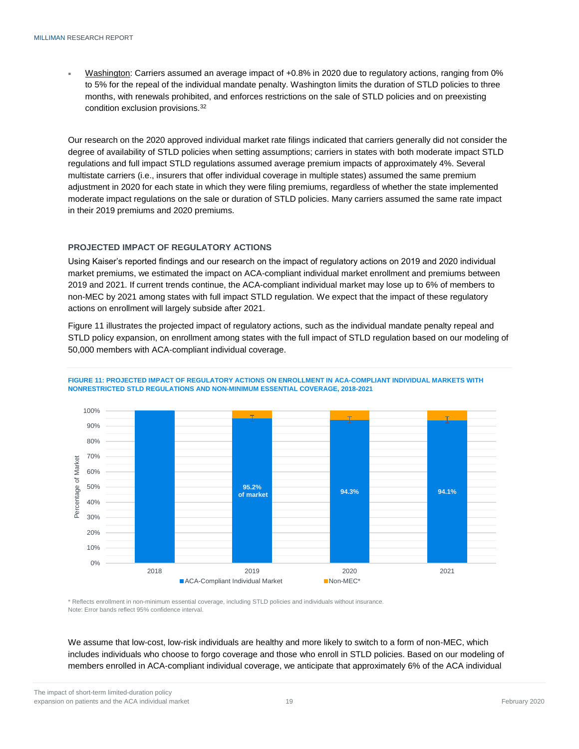Washington: Carriers assumed an average impact of +0.8% in 2020 due to regulatory actions, ranging from 0% to 5% for the repeal of the individual mandate penalty. Washington limits the duration of STLD policies to three months, with renewals prohibited, and enforces restrictions on the sale of STLD policies and on preexisting condition exclusion provisions.<sup>32</sup>

Our research on the 2020 approved individual market rate filings indicated that carriers generally did not consider the degree of availability of STLD policies when setting assumptions; carriers in states with both moderate impact STLD regulations and full impact STLD regulations assumed average premium impacts of approximately 4%. Several multistate carriers (i.e., insurers that offer individual coverage in multiple states) assumed the same premium adjustment in 2020 for each state in which they were filing premiums, regardless of whether the state implemented moderate impact regulations on the sale or duration of STLD policies. Many carriers assumed the same rate impact in their 2019 premiums and 2020 premiums.

#### <span id="page-20-0"></span>**PROJECTED IMPACT OF REGULATORY ACTIONS**

Using Kaiser's reported findings and our research on the impact of regulatory actions on 2019 and 2020 individual market premiums, we estimated the impact on ACA-compliant individual market enrollment and premiums between 2019 and 2021. If current trends continue, the ACA-compliant individual market may lose up to 6% of members to non-MEC by 2021 among states with full impact STLD regulation. We expect that the impact of these regulatory actions on enrollment will largely subside after 2021.

Figure 11 illustrates the projected impact of regulatory actions, such as the individual mandate penalty repeal and STLD policy expansion, on enrollment among states with the full impact of STLD regulation based on our modeling of 50,000 members with ACA-compliant individual coverage.





\* Reflects enrollment in non-minimum essential coverage, including STLD policies and individuals without insurance. Note: Error bands reflect 95% confidence interval.

We assume that low-cost, low-risk individuals are healthy and more likely to switch to a form of non-MEC, which includes individuals who choose to forgo coverage and those who enroll in STLD policies. Based on our modeling of members enrolled in ACA-compliant individual coverage, we anticipate that approximately 6% of the ACA individual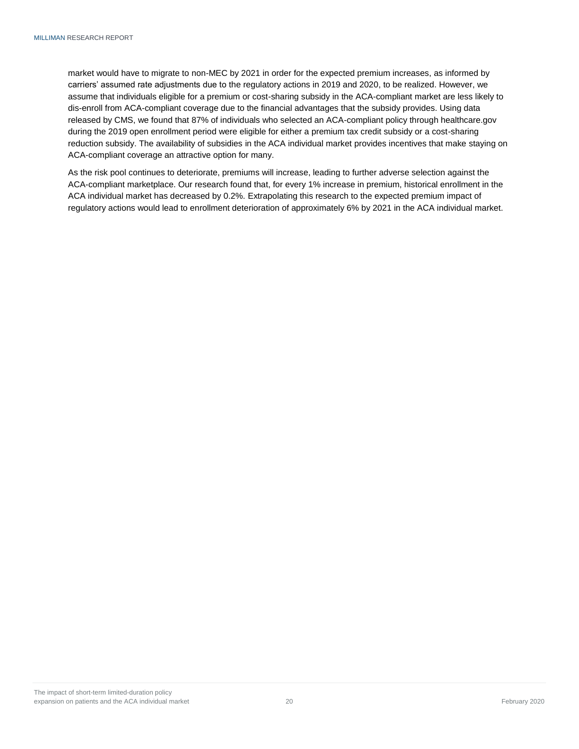market would have to migrate to non-MEC by 2021 in order for the expected premium increases, as informed by carriers' assumed rate adjustments due to the regulatory actions in 2019 and 2020, to be realized. However, we assume that individuals eligible for a premium or cost-sharing subsidy in the ACA-compliant market are less likely to dis-enroll from ACA-compliant coverage due to the financial advantages that the subsidy provides. Using data released by CMS, we found that 87% of individuals who selected an ACA-compliant policy through healthcare.gov during the 2019 open enrollment period were eligible for either a premium tax credit subsidy or a cost-sharing reduction subsidy. The availability of subsidies in the ACA individual market provides incentives that make staying on ACA-compliant coverage an attractive option for many.

As the risk pool continues to deteriorate, premiums will increase, leading to further adverse selection against the ACA-compliant marketplace. Our research found that, for every 1% increase in premium, historical enrollment in the ACA individual market has decreased by 0.2%. Extrapolating this research to the expected premium impact of regulatory actions would lead to enrollment deterioration of approximately 6% by 2021 in the ACA individual market.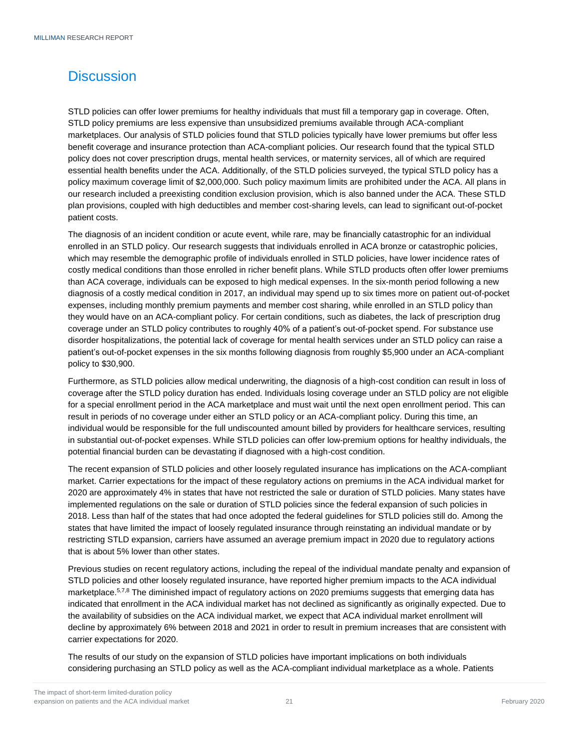# <span id="page-22-0"></span>**Discussion**

STLD policies can offer lower premiums for healthy individuals that must fill a temporary gap in coverage. Often, STLD policy premiums are less expensive than unsubsidized premiums available through ACA-compliant marketplaces. Our analysis of STLD policies found that STLD policies typically have lower premiums but offer less benefit coverage and insurance protection than ACA-compliant policies. Our research found that the typical STLD policy does not cover prescription drugs, mental health services, or maternity services, all of which are required essential health benefits under the ACA. Additionally, of the STLD policies surveyed, the typical STLD policy has a policy maximum coverage limit of \$2,000,000. Such policy maximum limits are prohibited under the ACA. All plans in our research included a preexisting condition exclusion provision, which is also banned under the ACA. These STLD plan provisions, coupled with high deductibles and member cost-sharing levels, can lead to significant out-of-pocket patient costs.

The diagnosis of an incident condition or acute event, while rare, may be financially catastrophic for an individual enrolled in an STLD policy. Our research suggests that individuals enrolled in ACA bronze or catastrophic policies, which may resemble the demographic profile of individuals enrolled in STLD policies, have lower incidence rates of costly medical conditions than those enrolled in richer benefit plans. While STLD products often offer lower premiums than ACA coverage, individuals can be exposed to high medical expenses. In the six-month period following a new diagnosis of a costly medical condition in 2017, an individual may spend up to six times more on patient out-of-pocket expenses, including monthly premium payments and member cost sharing, while enrolled in an STLD policy than they would have on an ACA-compliant policy. For certain conditions, such as diabetes, the lack of prescription drug coverage under an STLD policy contributes to roughly 40% of a patient's out-of-pocket spend. For substance use disorder hospitalizations, the potential lack of coverage for mental health services under an STLD policy can raise a patient's out-of-pocket expenses in the six months following diagnosis from roughly \$5,900 under an ACA-compliant policy to \$30,900.

Furthermore, as STLD policies allow medical underwriting, the diagnosis of a high-cost condition can result in loss of coverage after the STLD policy duration has ended. Individuals losing coverage under an STLD policy are not eligible for a special enrollment period in the ACA marketplace and must wait until the next open enrollment period. This can result in periods of no coverage under either an STLD policy or an ACA-compliant policy. During this time, an individual would be responsible for the full undiscounted amount billed by providers for healthcare services, resulting in substantial out-of-pocket expenses. While STLD policies can offer low-premium options for healthy individuals, the potential financial burden can be devastating if diagnosed with a high-cost condition.

The recent expansion of STLD policies and other loosely regulated insurance has implications on the ACA-compliant market. Carrier expectations for the impact of these regulatory actions on premiums in the ACA individual market for 2020 are approximately 4% in states that have not restricted the sale or duration of STLD policies. Many states have implemented regulations on the sale or duration of STLD policies since the federal expansion of such policies in 2018. Less than half of the states that had once adopted the federal guidelines for STLD policies still do. Among the states that have limited the impact of loosely regulated insurance through reinstating an individual mandate or by restricting STLD expansion, carriers have assumed an average premium impact in 2020 due to regulatory actions that is about 5% lower than other states.

Previous studies on recent regulatory actions, including the repeal of the individual mandate penalty and expansion of STLD policies and other loosely regulated insurance, have reported higher premium impacts to the ACA individual marketplace.<sup>5,7,8</sup> The diminished impact of regulatory actions on 2020 premiums suggests that emerging data has indicated that enrollment in the ACA individual market has not declined as significantly as originally expected. Due to the availability of subsidies on the ACA individual market, we expect that ACA individual market enrollment will decline by approximately 6% between 2018 and 2021 in order to result in premium increases that are consistent with carrier expectations for 2020.

The results of our study on the expansion of STLD policies have important implications on both individuals considering purchasing an STLD policy as well as the ACA-compliant individual marketplace as a whole. Patients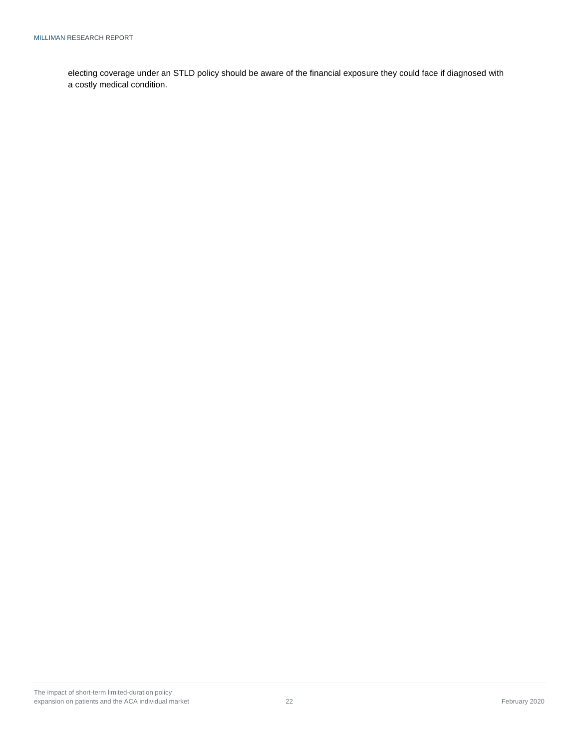electing coverage under an STLD policy should be aware of the financial exposure they could face if diagnosed with a costly medical condition.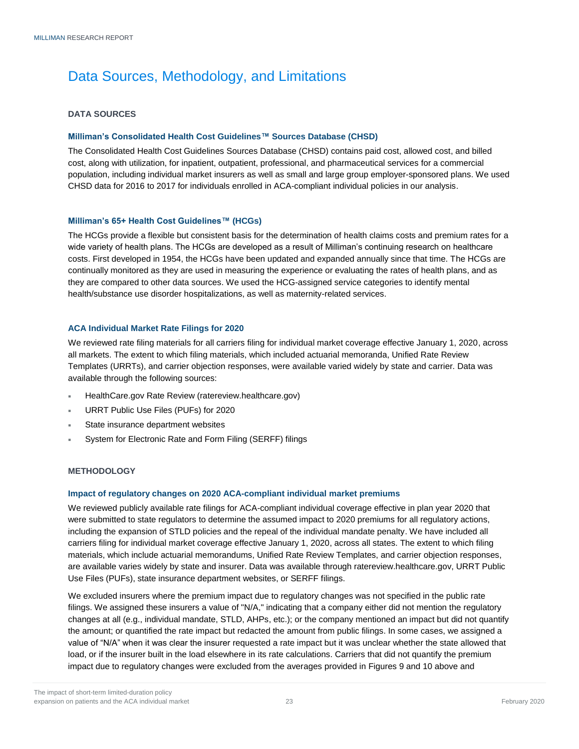# <span id="page-24-0"></span>Data Sources, Methodology, and Limitations

#### <span id="page-24-1"></span>**DATA SOURCES**

#### **Milliman's Consolidated Health Cost Guidelines™ Sources Database (CHSD)**

The Consolidated Health Cost Guidelines Sources Database (CHSD) contains paid cost, allowed cost, and billed cost, along with utilization, for inpatient, outpatient, professional, and pharmaceutical services for a commercial population, including individual market insurers as well as small and large group employer-sponsored plans. We used CHSD data for 2016 to 2017 for individuals enrolled in ACA-compliant individual policies in our analysis.

#### **Milliman's 65+ Health Cost Guidelines™ (HCGs)**

The HCGs provide a flexible but consistent basis for the determination of health claims costs and premium rates for a wide variety of health plans. The HCGs are developed as a result of Milliman's continuing research on healthcare costs. First developed in 1954, the HCGs have been updated and expanded annually since that time. The HCGs are continually monitored as they are used in measuring the experience or evaluating the rates of health plans, and as they are compared to other data sources. We used the HCG-assigned service categories to identify mental health/substance use disorder hospitalizations, as well as maternity-related services.

#### **ACA Individual Market Rate Filings for 2020**

We reviewed rate filing materials for all carriers filing for individual market coverage effective January 1, 2020, across all markets. The extent to which filing materials, which included actuarial memoranda, Unified Rate Review Templates (URRTs), and carrier objection responses, were available varied widely by state and carrier. Data was available through the following sources:

- HealthCare.gov Rate Review (ratereview.healthcare.gov)
- URRT Public Use Files (PUFs) for 2020
- State insurance department websites
- System for Electronic Rate and Form Filing (SERFF) filings

#### <span id="page-24-2"></span>**METHODOLOGY**

#### **Impact of regulatory changes on 2020 ACA-compliant individual market premiums**

We reviewed publicly available rate filings for ACA-compliant individual coverage effective in plan year 2020 that were submitted to state regulators to determine the assumed impact to 2020 premiums for all regulatory actions, including the expansion of STLD policies and the repeal of the individual mandate penalty. We have included all carriers filing for individual market coverage effective January 1, 2020, across all states. The extent to which filing materials, which include actuarial memorandums, Unified Rate Review Templates, and carrier objection responses, are available varies widely by state and insurer. Data was available through ratereview.healthcare.gov, URRT Public Use Files (PUFs), state insurance department websites, or SERFF filings.

We excluded insurers where the premium impact due to regulatory changes was not specified in the public rate filings. We assigned these insurers a value of "N/A," indicating that a company either did not mention the regulatory changes at all (e.g., individual mandate, STLD, AHPs, etc.); or the company mentioned an impact but did not quantify the amount; or quantified the rate impact but redacted the amount from public filings. In some cases, we assigned a value of "N/A" when it was clear the insurer requested a rate impact but it was unclear whether the state allowed that load, or if the insurer built in the load elsewhere in its rate calculations. Carriers that did not quantify the premium impact due to regulatory changes were excluded from the averages provided in Figures 9 and 10 above and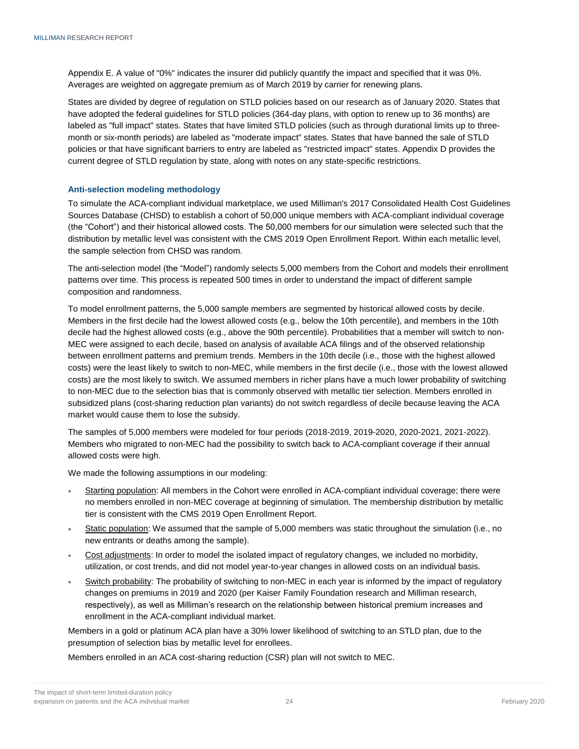Appendix E. A value of "0%" indicates the insurer did publicly quantify the impact and specified that it was 0%. Averages are weighted on aggregate premium as of March 2019 by carrier for renewing plans.

States are divided by degree of regulation on STLD policies based on our research as of January 2020. States that have adopted the federal guidelines for STLD policies (364-day plans, with option to renew up to 36 months) are labeled as "full impact" states. States that have limited STLD policies (such as through durational limits up to threemonth or six-month periods) are labeled as "moderate impact" states. States that have banned the sale of STLD policies or that have significant barriers to entry are labeled as "restricted impact" states. Appendix D provides the current degree of STLD regulation by state, along with notes on any state-specific restrictions.

#### **Anti-selection modeling methodology**

To simulate the ACA-compliant individual marketplace, we used Milliman's 2017 Consolidated Health Cost Guidelines Sources Database (CHSD) to establish a cohort of 50,000 unique members with ACA-compliant individual coverage (the "Cohort") and their historical allowed costs. The 50,000 members for our simulation were selected such that the distribution by metallic level was consistent with the CMS 2019 Open Enrollment Report. Within each metallic level, the sample selection from CHSD was random.

The anti-selection model (the "Model") randomly selects 5,000 members from the Cohort and models their enrollment patterns over time. This process is repeated 500 times in order to understand the impact of different sample composition and randomness.

To model enrollment patterns, the 5,000 sample members are segmented by historical allowed costs by decile. Members in the first decile had the lowest allowed costs (e.g., below the 10th percentile), and members in the 10th decile had the highest allowed costs (e.g., above the 90th percentile). Probabilities that a member will switch to non-MEC were assigned to each decile, based on analysis of available ACA filings and of the observed relationship between enrollment patterns and premium trends. Members in the 10th decile (i.e., those with the highest allowed costs) were the least likely to switch to non-MEC, while members in the first decile (i.e., those with the lowest allowed costs) are the most likely to switch. We assumed members in richer plans have a much lower probability of switching to non-MEC due to the selection bias that is commonly observed with metallic tier selection. Members enrolled in subsidized plans (cost-sharing reduction plan variants) do not switch regardless of decile because leaving the ACA market would cause them to lose the subsidy.

The samples of 5,000 members were modeled for four periods (2018-2019, 2019-2020, 2020-2021, 2021-2022). Members who migrated to non-MEC had the possibility to switch back to ACA-compliant coverage if their annual allowed costs were high.

We made the following assumptions in our modeling:

- Starting population: All members in the Cohort were enrolled in ACA-compliant individual coverage; there were no members enrolled in non-MEC coverage at beginning of simulation. The membership distribution by metallic tier is consistent with the CMS 2019 Open Enrollment Report.
- Static population: We assumed that the sample of 5,000 members was static throughout the simulation (i.e., no new entrants or deaths among the sample).
- Cost adjustments: In order to model the isolated impact of regulatory changes, we included no morbidity, utilization, or cost trends, and did not model year-to-year changes in allowed costs on an individual basis.
- Switch probability: The probability of switching to non-MEC in each year is informed by the impact of regulatory changes on premiums in 2019 and 2020 (per Kaiser Family Foundation research and Milliman research, respectively), as well as Milliman's research on the relationship between historical premium increases and enrollment in the ACA-compliant individual market.

Members in a gold or platinum ACA plan have a 30% lower likelihood of switching to an STLD plan, due to the presumption of selection bias by metallic level for enrollees.

Members enrolled in an ACA cost-sharing reduction (CSR) plan will not switch to MEC.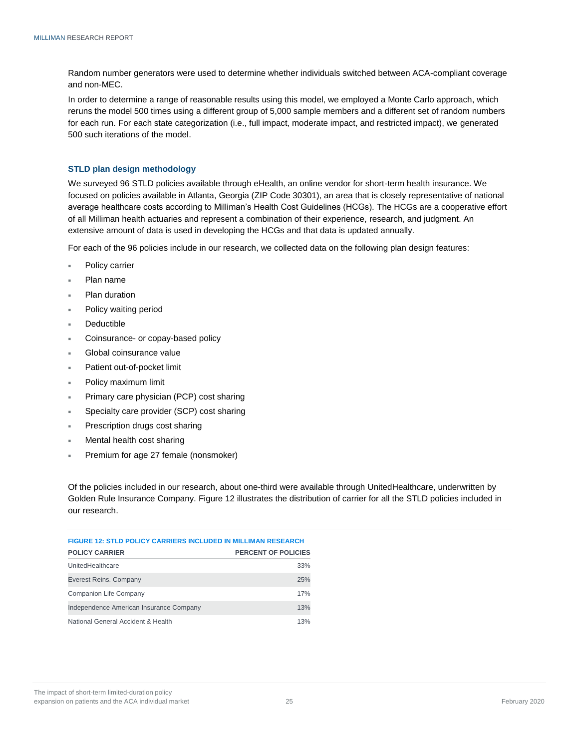Random number generators were used to determine whether individuals switched between ACA-compliant coverage and non-MEC.

In order to determine a range of reasonable results using this model, we employed a Monte Carlo approach, which reruns the model 500 times using a different group of 5,000 sample members and a different set of random numbers for each run. For each state categorization (i.e., full impact, moderate impact, and restricted impact), we generated 500 such iterations of the model.

#### **STLD plan design methodology**

We surveyed 96 STLD policies available through eHealth, an online vendor for short-term health insurance. We focused on policies available in Atlanta, Georgia (ZIP Code 30301), an area that is closely representative of national average healthcare costs according to Milliman's Health Cost Guidelines (HCGs). The HCGs are a cooperative effort of all Milliman health actuaries and represent a combination of their experience, research, and judgment. An extensive amount of data is used in developing the HCGs and that data is updated annually.

For each of the 96 policies include in our research, we collected data on the following plan design features:

- Policy carrier
- Plan name
- Plan duration
- Policy waiting period
- Deductible
- Coinsurance- or copay-based policy
- Global coinsurance value
- Patient out-of-pocket limit
- Policy maximum limit
- Primary care physician (PCP) cost sharing
- Specialty care provider (SCP) cost sharing
- Prescription drugs cost sharing
- Mental health cost sharing
- Premium for age 27 female (nonsmoker)

Of the policies included in our research, about one-third were available through UnitedHealthcare, underwritten by Golden Rule Insurance Company. Figure 12 illustrates the distribution of carrier for all the STLD policies included in our research.

| <b>FIGURE 12: STLD POLICY CARRIERS INCLUDED IN MILLIMAN RESEARCH</b> |                     |  |  |  |
|----------------------------------------------------------------------|---------------------|--|--|--|
| <b>POLICY CARRIER</b>                                                | PERCENT OF POLICIES |  |  |  |
| UnitedHealthcare                                                     | 33%                 |  |  |  |
| Everest Reins. Company                                               | 25%                 |  |  |  |
| Companion Life Company                                               | 17%                 |  |  |  |
| Independence American Insurance Company                              | 13%                 |  |  |  |
| National General Accident & Health                                   | 13%                 |  |  |  |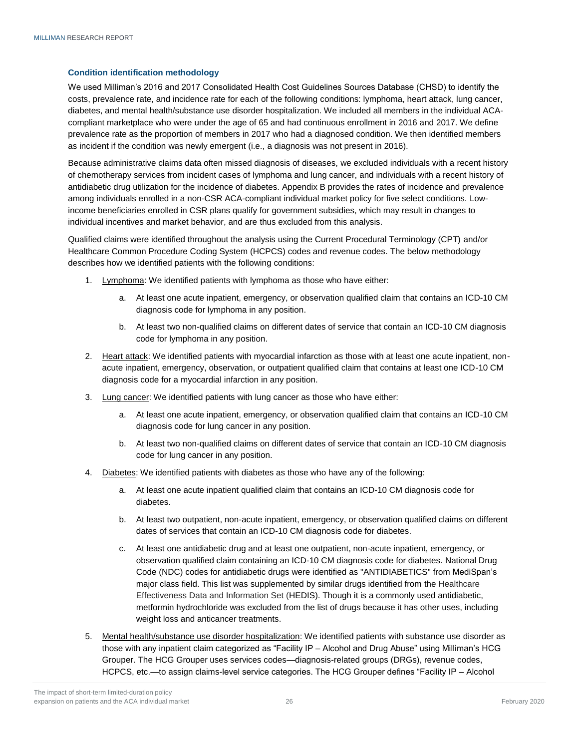#### **Condition identification methodology**

We used Milliman's 2016 and 2017 Consolidated Health Cost Guidelines Sources Database (CHSD) to identify the costs, prevalence rate, and incidence rate for each of the following conditions: lymphoma, heart attack, lung cancer, diabetes, and mental health/substance use disorder hospitalization. We included all members in the individual ACAcompliant marketplace who were under the age of 65 and had continuous enrollment in 2016 and 2017. We define prevalence rate as the proportion of members in 2017 who had a diagnosed condition. We then identified members as incident if the condition was newly emergent (i.e., a diagnosis was not present in 2016).

Because administrative claims data often missed diagnosis of diseases, we excluded individuals with a recent history of chemotherapy services from incident cases of lymphoma and lung cancer, and individuals with a recent history of antidiabetic drug utilization for the incidence of diabetes. Appendix B provides the rates of incidence and prevalence among individuals enrolled in a non-CSR ACA-compliant individual market policy for five select conditions. Lowincome beneficiaries enrolled in CSR plans qualify for government subsidies, which may result in changes to individual incentives and market behavior, and are thus excluded from this analysis.

Qualified claims were identified throughout the analysis using the Current Procedural Terminology (CPT) and/or Healthcare Common Procedure Coding System (HCPCS) codes and revenue codes. The below methodology describes how we identified patients with the following conditions:

- 1. Lymphoma: We identified patients with lymphoma as those who have either:
	- a. At least one acute inpatient, emergency, or observation qualified claim that contains an ICD-10 CM diagnosis code for lymphoma in any position.
	- b. At least two non-qualified claims on different dates of service that contain an ICD-10 CM diagnosis code for lymphoma in any position.
- 2. Heart attack: We identified patients with myocardial infarction as those with at least one acute inpatient, nonacute inpatient, emergency, observation, or outpatient qualified claim that contains at least one ICD-10 CM diagnosis code for a myocardial infarction in any position.
- 3. Lung cancer: We identified patients with lung cancer as those who have either:
	- a. At least one acute inpatient, emergency, or observation qualified claim that contains an ICD-10 CM diagnosis code for lung cancer in any position.
	- b. At least two non-qualified claims on different dates of service that contain an ICD-10 CM diagnosis code for lung cancer in any position.
- 4. Diabetes: We identified patients with diabetes as those who have any of the following:
	- a. At least one acute inpatient qualified claim that contains an ICD-10 CM diagnosis code for diabetes.
	- b. At least two outpatient, non-acute inpatient, emergency, or observation qualified claims on different dates of services that contain an ICD-10 CM diagnosis code for diabetes.
	- c. At least one antidiabetic drug and at least one outpatient, non-acute inpatient, emergency, or observation qualified claim containing an ICD-10 CM diagnosis code for diabetes. National Drug Code (NDC) codes for antidiabetic drugs were identified as "ANTIDIABETICS" from MediSpan's major class field. This list was supplemented by similar drugs identified from the Healthcare Effectiveness Data and Information Set (HEDIS). Though it is a commonly used antidiabetic, metformin hydrochloride was excluded from the list of drugs because it has other uses, including weight loss and anticancer treatments.
- 5. Mental health/substance use disorder hospitalization: We identified patients with substance use disorder as those with any inpatient claim categorized as "Facility IP – Alcohol and Drug Abuse" using Milliman's HCG Grouper. The HCG Grouper uses services codes—diagnosis-related groups (DRGs), revenue codes, HCPCS, etc.—to assign claims-level service categories. The HCG Grouper defines "Facility IP – Alcohol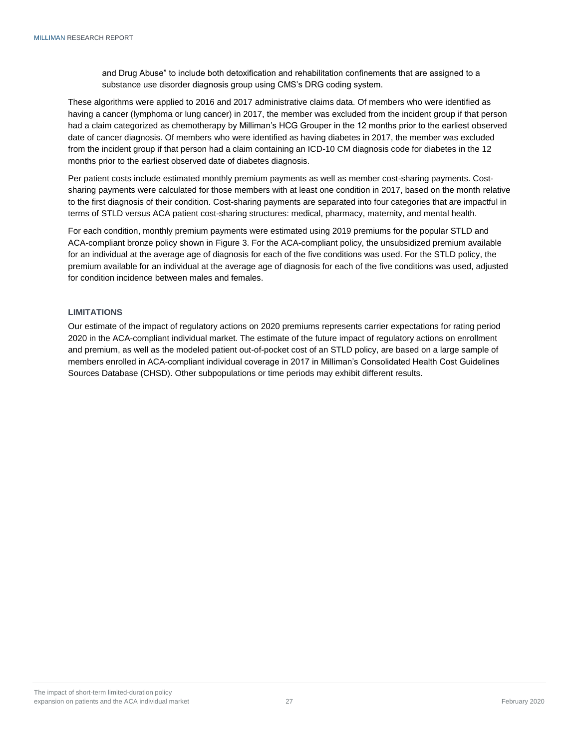and Drug Abuse" to include both detoxification and rehabilitation confinements that are assigned to a substance use disorder diagnosis group using CMS's DRG coding system.

These algorithms were applied to 2016 and 2017 administrative claims data. Of members who were identified as having a cancer (lymphoma or lung cancer) in 2017, the member was excluded from the incident group if that person had a claim categorized as chemotherapy by Milliman's HCG Grouper in the 12 months prior to the earliest observed date of cancer diagnosis. Of members who were identified as having diabetes in 2017, the member was excluded from the incident group if that person had a claim containing an ICD-10 CM diagnosis code for diabetes in the 12 months prior to the earliest observed date of diabetes diagnosis.

Per patient costs include estimated monthly premium payments as well as member cost-sharing payments. Costsharing payments were calculated for those members with at least one condition in 2017, based on the month relative to the first diagnosis of their condition. Cost-sharing payments are separated into four categories that are impactful in terms of STLD versus ACA patient cost-sharing structures: medical, pharmacy, maternity, and mental health.

For each condition, monthly premium payments were estimated using 2019 premiums for the popular STLD and ACA-compliant bronze policy shown in Figure 3. For the ACA-compliant policy, the unsubsidized premium available for an individual at the average age of diagnosis for each of the five conditions was used. For the STLD policy, the premium available for an individual at the average age of diagnosis for each of the five conditions was used, adjusted for condition incidence between males and females.

#### <span id="page-28-0"></span>**LIMITATIONS**

Our estimate of the impact of regulatory actions on 2020 premiums represents carrier expectations for rating period 2020 in the ACA-compliant individual market. The estimate of the future impact of regulatory actions on enrollment and premium, as well as the modeled patient out-of-pocket cost of an STLD policy, are based on a large sample of members enrolled in ACA-compliant individual coverage in 2017 in Milliman's Consolidated Health Cost Guidelines Sources Database (CHSD). Other subpopulations or time periods may exhibit different results.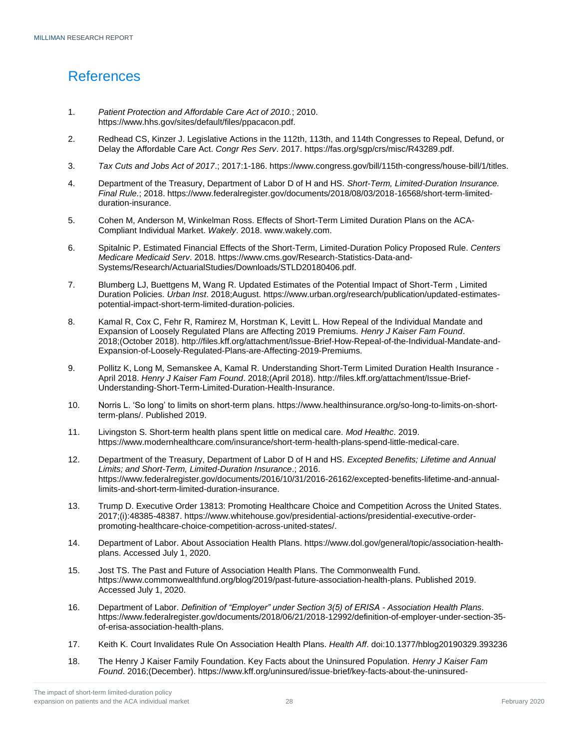# <span id="page-29-0"></span>References

- 1. *Patient Protection and Affordable Care Act of 2010.*; 2010. https://www.hhs.gov/sites/default/files/ppacacon.pdf.
- 2. Redhead CS, Kinzer J. Legislative Actions in the 112th, 113th, and 114th Congresses to Repeal, Defund, or Delay the Affordable Care Act. *Congr Res Serv*. 2017. https://fas.org/sgp/crs/misc/R43289.pdf.
- 3. *Tax Cuts and Jobs Act of 2017*.; 2017:1-186. https://www.congress.gov/bill/115th-congress/house-bill/1/titles.
- 4. Department of the Treasury, Department of Labor D of H and HS. *Short-Term, Limited-Duration Insurance. Final Rule.*; 2018. https://www.federalregister.gov/documents/2018/08/03/2018-16568/short-term-limitedduration-insurance.
- 5. Cohen M, Anderson M, Winkelman Ross. Effects of Short-Term Limited Duration Plans on the ACA-Compliant Individual Market. *Wakely*. 2018. www.wakely.com.
- 6. Spitalnic P. Estimated Financial Effects of the Short-Term, Limited-Duration Policy Proposed Rule. *Centers Medicare Medicaid Serv*. 2018. https://www.cms.gov/Research-Statistics-Data-and-Systems/Research/ActuarialStudies/Downloads/STLD20180406.pdf.
- 7. Blumberg LJ, Buettgens M, Wang R. Updated Estimates of the Potential Impact of Short-Term , Limited Duration Policies. *Urban Inst*. 2018;August. https://www.urban.org/research/publication/updated-estimatespotential-impact-short-term-limited-duration-policies.
- 8. Kamal R, Cox C, Fehr R, Ramirez M, Horstman K, Levitt L. How Repeal of the Individual Mandate and Expansion of Loosely Regulated Plans are Affecting 2019 Premiums. *Henry J Kaiser Fam Found*. 2018;(October 2018). http://files.kff.org/attachment/Issue-Brief-How-Repeal-of-the-Individual-Mandate-and-Expansion-of-Loosely-Regulated-Plans-are-Affecting-2019-Premiums.
- 9. Pollitz K, Long M, Semanskee A, Kamal R. Understanding Short-Term Limited Duration Health Insurance April 2018. *Henry J Kaiser Fam Found*. 2018;(April 2018). http://files.kff.org/attachment/Issue-Brief-Understanding-Short-Term-Limited-Duration-Health-Insurance.
- 10. Norris L. 'So long' to limits on short-term plans. https://www.healthinsurance.org/so-long-to-limits-on-shortterm-plans/. Published 2019.
- 11. Livingston S. Short-term health plans spent little on medical care. *Mod Healthc*. 2019. https://www.modernhealthcare.com/insurance/short-term-health-plans-spend-little-medical-care.
- 12. Department of the Treasury, Department of Labor D of H and HS. *Excepted Benefits; Lifetime and Annual Limits; and Short-Term, Limited-Duration Insurance*.; 2016. https://www.federalregister.gov/documents/2016/10/31/2016-26162/excepted-benefits-lifetime-and-annuallimits-and-short-term-limited-duration-insurance.
- 13. Trump D. Executive Order 13813: Promoting Healthcare Choice and Competition Across the United States. 2017;(i):48385-48387. https://www.whitehouse.gov/presidential-actions/presidential-executive-orderpromoting-healthcare-choice-competition-across-united-states/.
- 14. Department of Labor. About Association Health Plans. https://www.dol.gov/general/topic/association-healthplans. Accessed July 1, 2020.
- 15. Jost TS. The Past and Future of Association Health Plans. The Commonwealth Fund. https://www.commonwealthfund.org/blog/2019/past-future-association-health-plans. Published 2019. Accessed July 1, 2020.
- 16. Department of Labor. *Definition of "Employer" under Section 3(5) of ERISA - Association Health Plans*. https://www.federalregister.gov/documents/2018/06/21/2018-12992/definition-of-employer-under-section-35 of-erisa-association-health-plans.
- 17. Keith K. Court Invalidates Rule On Association Health Plans. *Health Aff*. doi:10.1377/hblog20190329.393236
- 18. The Henry J Kaiser Family Foundation. Key Facts about the Uninsured Population. *Henry J Kaiser Fam Found*. 2016;(December). https://www.kff.org/uninsured/issue-brief/key-facts-about-the-uninsured-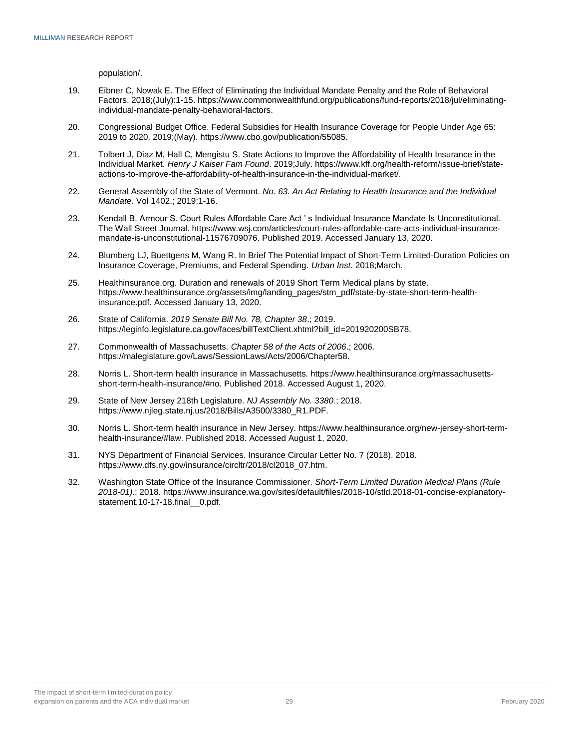population/.

- 19. Eibner C, Nowak E. The Effect of Eliminating the Individual Mandate Penalty and the Role of Behavioral Factors. 2018;(July):1-15. https://www.commonwealthfund.org/publications/fund-reports/2018/jul/eliminatingindividual-mandate-penalty-behavioral-factors.
- 20. Congressional Budget Office. Federal Subsidies for Health Insurance Coverage for People Under Age 65: 2019 to 2020. 2019;(May). https://www.cbo.gov/publication/55085.
- 21. Tolbert J, Diaz M, Hall C, Mengistu S. State Actions to Improve the Affordability of Health Insurance in the Individual Market. *Henry J Kaiser Fam Found*. 2019;July. https://www.kff.org/health-reform/issue-brief/stateactions-to-improve-the-affordability-of-health-insurance-in-the-individual-market/.
- 22. General Assembly of the State of Vermont. *No. 63. An Act Relating to Health Insurance and the Individual Mandate*. Vol 1402.; 2019:1-16.
- 23. Kendall B, Armour S. Court Rules Affordable Care Act ' s Individual Insurance Mandate Is Unconstitutional. The Wall Street Journal. https://www.wsj.com/articles/court-rules-affordable-care-acts-individual-insurancemandate-is-unconstitutional-11576709076. Published 2019. Accessed January 13, 2020.
- 24. Blumberg LJ, Buettgens M, Wang R. In Brief The Potential Impact of Short-Term Limited-Duration Policies on Insurance Coverage, Premiums, and Federal Spending. *Urban Inst*. 2018;March.
- 25. Healthinsurance.org. Duration and renewals of 2019 Short Term Medical plans by state. https://www.healthinsurance.org/assets/img/landing\_pages/stm\_pdf/state-by-state-short-term-healthinsurance.pdf. Accessed January 13, 2020.
- 26. State of California. *2019 Senate Bill No. 78, Chapter 38*.; 2019. https://leginfo.legislature.ca.gov/faces/billTextClient.xhtml?bill\_id=201920200SB78.
- 27. Commonwealth of Massachusetts. *Chapter 58 of the Acts of 2006*.; 2006. https://malegislature.gov/Laws/SessionLaws/Acts/2006/Chapter58.
- 28. Norris L. Short-term health insurance in Massachusetts. https://www.healthinsurance.org/massachusettsshort-term-health-insurance/#no. Published 2018. Accessed August 1, 2020.
- 29. State of New Jersey 218th Legislature. *NJ Assembly No. 3380*.; 2018. https://www.njleg.state.nj.us/2018/Bills/A3500/3380\_R1.PDF.
- 30. Norris L. Short-term health insurance in New Jersey. https://www.healthinsurance.org/new-jersey-short-termhealth-insurance/#law. Published 2018. Accessed August 1, 2020.
- 31. NYS Department of Financial Services. Insurance Circular Letter No. 7 (2018). 2018. https://www.dfs.ny.gov/insurance/circltr/2018/cl2018\_07.htm.
- 32. Washington State Office of the Insurance Commissioner. *Short-Term Limited Duration Medical Plans (Rule 2018-01)*.; 2018. https://www.insurance.wa.gov/sites/default/files/2018-10/stld.2018-01-concise-explanatorystatement.10-17-18.final 0.pdf.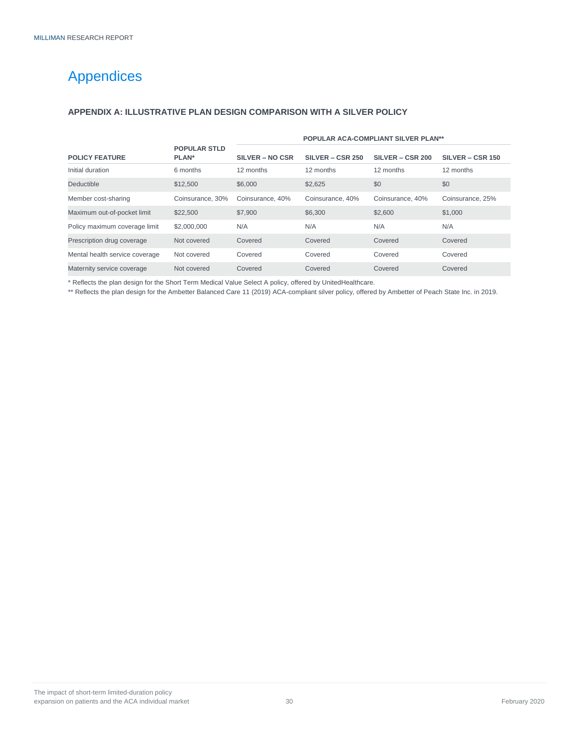# <span id="page-31-0"></span>Appendices

### <span id="page-31-1"></span>**APPENDIX A: ILLUSTRATIVE PLAN DESIGN COMPARISON WITH A SILVER POLICY**

|                                |                              | <b>POPULAR ACA-COMPLIANT SILVER PLAN**</b> |                    |                  |                  |
|--------------------------------|------------------------------|--------------------------------------------|--------------------|------------------|------------------|
| <b>POLICY FEATURE</b>          | <b>POPULAR STLD</b><br>PLAN* | SILVER – NO CSR                            | $SILVER - CSP 250$ | SILVER - CSR 200 | SILVER - CSR 150 |
| Initial duration               | 6 months                     | 12 months                                  | 12 months          | 12 months        | 12 months        |
| Deductible                     | \$12,500                     | \$6,000                                    | \$2.625            | \$0              | \$0              |
| Member cost-sharing            | Coinsurance, 30%             | Coinsurance, 40%                           | Coinsurance, 40%   | Coinsurance, 40% | Coinsurance, 25% |
| Maximum out-of-pocket limit    | \$22,500                     | \$7,900                                    | \$6,300            | \$2,600          | \$1,000          |
| Policy maximum coverage limit  | \$2,000,000                  | N/A                                        | N/A                | N/A              | N/A              |
| Prescription drug coverage     | Not covered                  | Covered                                    | Covered            | Covered          | Covered          |
| Mental health service coverage | Not covered                  | Covered                                    | Covered            | Covered          | Covered          |
| Maternity service coverage     | Not covered                  | Covered                                    | Covered            | Covered          | Covered          |

\* Reflects the plan design for the Short Term Medical Value Select A policy, offered by UnitedHealthcare.

\*\* Reflects the plan design for the Ambetter Balanced Care 11 (2019) ACA-compliant silver policy, offered by Ambetter of Peach State Inc. in 2019.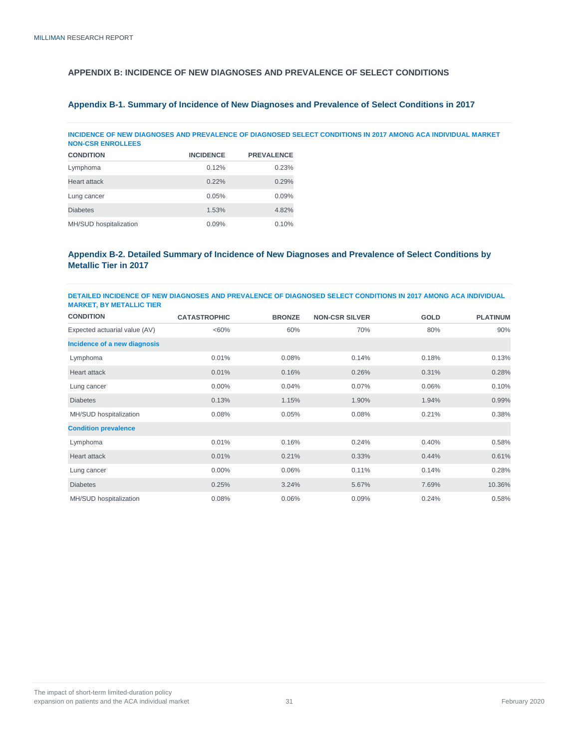### <span id="page-32-0"></span>**APPENDIX B: INCIDENCE OF NEW DIAGNOSES AND PREVALENCE OF SELECT CONDITIONS**

### **Appendix B-1. Summary of Incidence of New Diagnoses and Prevalence of Select Conditions in 2017**

**INCIDENCE OF NEW DIAGNOSES AND PREVALENCE OF DIAGNOSED SELECT CONDITIONS IN 2017 AMONG ACA INDIVIDUAL MARKET NON-CSR ENROLLEES**

| <b>CONDITION</b>       | <b>INCIDENCE</b> | <b>PREVALENCE</b> |
|------------------------|------------------|-------------------|
| Lymphoma               | 0.12%            | 0.23%             |
| <b>Heart attack</b>    | 0.22%            | 0.29%             |
| Lung cancer            | 0.05%            | 0.09%             |
| <b>Diabetes</b>        | 1.53%            | 4.82%             |
| MH/SUD hospitalization | 0.09%            | 0.10%             |

#### **Appendix B-2. Detailed Summary of Incidence of New Diagnoses and Prevalence of Select Conditions by Metallic Tier in 2017**

#### **DETAILED INCIDENCE OF NEW DIAGNOSES AND PREVALENCE OF DIAGNOSED SELECT CONDITIONS IN 2017 AMONG ACA INDIVIDUAL MARKET, BY METALLIC TIER**

| <b>CONDITION</b>              | <b>CATASTROPHIC</b> | <b>BRONZE</b> | <b>NON-CSR SILVER</b> | <b>GOLD</b> | <b>PLATINUM</b> |
|-------------------------------|---------------------|---------------|-----------------------|-------------|-----------------|
| Expected actuarial value (AV) | $<60\%$             | 60%           | 70%                   | 80%         | 90%             |
| Incidence of a new diagnosis  |                     |               |                       |             |                 |
| Lymphoma                      | 0.01%               | 0.08%         | 0.14%                 | 0.18%       | 0.13%           |
| <b>Heart attack</b>           | 0.01%               | 0.16%         | 0.26%                 | 0.31%       | 0.28%           |
| Lung cancer                   | $0.00\%$            | 0.04%         | 0.07%                 | 0.06%       | 0.10%           |
| <b>Diabetes</b>               | 0.13%               | 1.15%         | 1.90%                 | 1.94%       | 0.99%           |
| MH/SUD hospitalization        | 0.08%               | 0.05%         | 0.08%                 | 0.21%       | 0.38%           |
| <b>Condition prevalence</b>   |                     |               |                       |             |                 |
| Lymphoma                      | 0.01%               | 0.16%         | 0.24%                 | 0.40%       | 0.58%           |
| <b>Heart attack</b>           | 0.01%               | 0.21%         | 0.33%                 | 0.44%       | 0.61%           |
| Lung cancer                   | 0.00%               | 0.06%         | 0.11%                 | 0.14%       | 0.28%           |
| <b>Diabetes</b>               | 0.25%               | 3.24%         | 5.67%                 | 7.69%       | 10.36%          |
| MH/SUD hospitalization        | 0.08%               | 0.06%         | 0.09%                 | 0.24%       | 0.58%           |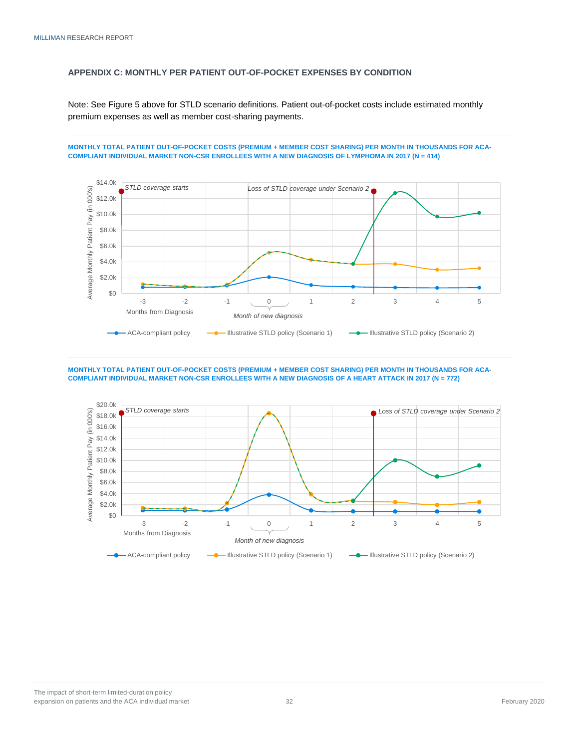### <span id="page-33-0"></span>**APPENDIX C: MONTHLY PER PATIENT OUT-OF-POCKET EXPENSES BY CONDITION**

Note: See Figure 5 above for STLD scenario definitions. Patient out-of-pocket costs include estimated monthly premium expenses as well as member cost-sharing payments.

#### **MONTHLY TOTAL PATIENT OUT-OF-POCKET COSTS (PREMIUM + MEMBER COST SHARING) PER MONTH IN THOUSANDS FOR ACA-COMPLIANT INDIVIDUAL MARKET NON-CSR ENROLLEES WITH A NEW DIAGNOSIS OF LYMPHOMA IN 2017 (N = 414)**



#### **MONTHLY TOTAL PATIENT OUT-OF-POCKET COSTS (PREMIUM + MEMBER COST SHARING) PER MONTH IN THOUSANDS FOR ACA-COMPLIANT INDIVIDUAL MARKET NON-CSR ENROLLEES WITH A NEW DIAGNOSIS OF A HEART ATTACK IN 2017 (N = 772)**

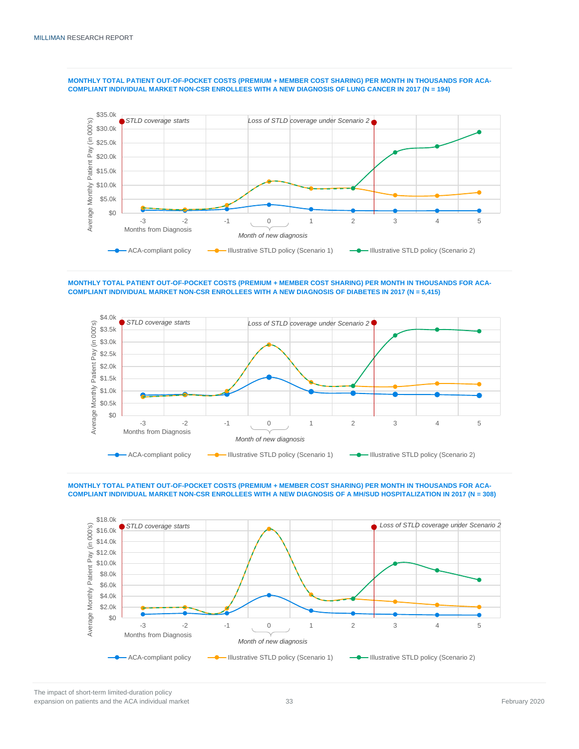

**MONTHLY TOTAL PATIENT OUT-OF-POCKET COSTS (PREMIUM + MEMBER COST SHARING) PER MONTH IN THOUSANDS FOR ACA-COMPLIANT INDIVIDUAL MARKET NON-CSR ENROLLEES WITH A NEW DIAGNOSIS OF LUNG CANCER IN 2017 (N = 194)**

**MONTHLY TOTAL PATIENT OUT-OF-POCKET COSTS (PREMIUM + MEMBER COST SHARING) PER MONTH IN THOUSANDS FOR ACA-COMPLIANT INDIVIDUAL MARKET NON-CSR ENROLLEES WITH A NEW DIAGNOSIS OF DIABETES IN 2017 (N = 5,415)**



**MONTHLY TOTAL PATIENT OUT-OF-POCKET COSTS (PREMIUM + MEMBER COST SHARING) PER MONTH IN THOUSANDS FOR ACA-COMPLIANT INDIVIDUAL MARKET NON-CSR ENROLLEES WITH A NEW DIAGNOSIS OF A MH/SUD HOSPITALIZATION IN 2017 (N = 308)**

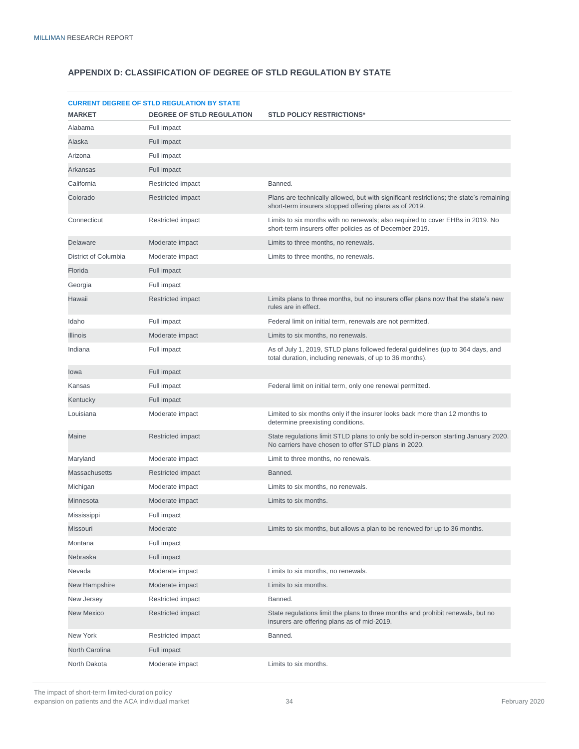### <span id="page-35-0"></span>**APPENDIX D: CLASSIFICATION OF DEGREE OF STLD REGULATION BY STATE**

|                      | <b>CURRENT DEGREE OF STLD REGULATION BY STATE</b> |                                                                                                                                                   |
|----------------------|---------------------------------------------------|---------------------------------------------------------------------------------------------------------------------------------------------------|
| <b>MARKET</b>        | <b>DEGREE OF STLD REGULATION</b>                  | <b>STLD POLICY RESTRICTIONS*</b>                                                                                                                  |
| Alabama              | Full impact                                       |                                                                                                                                                   |
| Alaska               | Full impact                                       |                                                                                                                                                   |
| Arizona              | Full impact                                       |                                                                                                                                                   |
| Arkansas             | Full impact                                       |                                                                                                                                                   |
| California           | Restricted impact                                 | Banned.                                                                                                                                           |
| Colorado             | Restricted impact                                 | Plans are technically allowed, but with significant restrictions; the state's remaining<br>short-term insurers stopped offering plans as of 2019. |
| Connecticut          | Restricted impact                                 | Limits to six months with no renewals; also required to cover EHBs in 2019. No<br>short-term insurers offer policies as of December 2019.         |
| Delaware             | Moderate impact                                   | Limits to three months, no renewals.                                                                                                              |
| District of Columbia | Moderate impact                                   | Limits to three months, no renewals.                                                                                                              |
| Florida              | Full impact                                       |                                                                                                                                                   |
| Georgia              | Full impact                                       |                                                                                                                                                   |
| Hawaii               | Restricted impact                                 | Limits plans to three months, but no insurers offer plans now that the state's new<br>rules are in effect.                                        |
| Idaho                | Full impact                                       | Federal limit on initial term, renewals are not permitted.                                                                                        |
| <b>Illinois</b>      | Moderate impact                                   | Limits to six months, no renewals.                                                                                                                |
| Indiana              | Full impact                                       | As of July 1, 2019, STLD plans followed federal guidelines (up to 364 days, and<br>total duration, including renewals, of up to 36 months).       |
| lowa                 | Full impact                                       |                                                                                                                                                   |
| Kansas               | Full impact                                       | Federal limit on initial term, only one renewal permitted.                                                                                        |
| Kentucky             | Full impact                                       |                                                                                                                                                   |
| Louisiana            | Moderate impact                                   | Limited to six months only if the insurer looks back more than 12 months to<br>determine preexisting conditions.                                  |
| Maine                | Restricted impact                                 | State regulations limit STLD plans to only be sold in-person starting January 2020.<br>No carriers have chosen to offer STLD plans in 2020.       |
| Maryland             | Moderate impact                                   | Limit to three months, no renewals.                                                                                                               |
| <b>Massachusetts</b> | Restricted impact                                 | Banned.                                                                                                                                           |
| Michigan             | Moderate impact                                   | Limits to six months, no renewals.                                                                                                                |
| Minnesota            | Moderate impact                                   | Limits to six months.                                                                                                                             |
| Mississippi          | Full impact                                       |                                                                                                                                                   |
| Missouri             | Moderate                                          | Limits to six months, but allows a plan to be renewed for up to 36 months.                                                                        |
| Montana              | Full impact                                       |                                                                                                                                                   |
| Nebraska             | Full impact                                       |                                                                                                                                                   |
| Nevada               | Moderate impact                                   | Limits to six months, no renewals.                                                                                                                |
| New Hampshire        | Moderate impact                                   | Limits to six months.                                                                                                                             |
| New Jersey           | Restricted impact                                 | Banned.                                                                                                                                           |
| <b>New Mexico</b>    | Restricted impact                                 | State regulations limit the plans to three months and prohibit renewals, but no<br>insurers are offering plans as of mid-2019.                    |
| New York             | Restricted impact                                 | Banned.                                                                                                                                           |
| North Carolina       | Full impact                                       |                                                                                                                                                   |
| North Dakota         | Moderate impact                                   | Limits to six months.                                                                                                                             |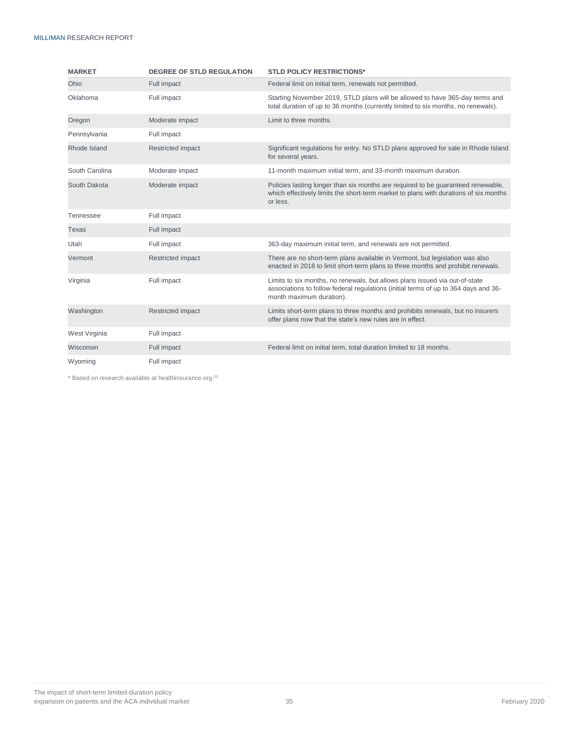| <b>MARKET</b>  | <b>DEGREE OF STLD REGULATION</b> | <b>STLD POLICY RESTRICTIONS*</b>                                                                                                                                                               |  |
|----------------|----------------------------------|------------------------------------------------------------------------------------------------------------------------------------------------------------------------------------------------|--|
| Ohio           | Full impact                      | Federal limit on initial term, renewals not permitted.                                                                                                                                         |  |
| Oklahoma       | Full impact                      | Starting November 2019, STLD plans will be allowed to have 365-day terms and<br>total duration of up to 36 months (currently limited to six months, no renewals).                              |  |
| Oregon         | Moderate impact                  | Limit to three months.                                                                                                                                                                         |  |
| Pennsylvania   | Full impact                      |                                                                                                                                                                                                |  |
| Rhode Island   | Restricted impact                | Significant regulations for entry. No STLD plans approved for sale in Rhode Island<br>for several years.                                                                                       |  |
| South Carolina | Moderate impact                  | 11-month maximum initial term, and 33-month maximum duration.                                                                                                                                  |  |
| South Dakota   | Moderate impact                  | Policies lasting longer than six months are required to be guaranteed renewable,<br>which effectively limits the short-term market to plans with durations of six months<br>or less.           |  |
| Tennessee      | Full impact                      |                                                                                                                                                                                                |  |
| <b>Texas</b>   | Full impact                      |                                                                                                                                                                                                |  |
| Utah           | Full impact                      | 363-day maximum initial term, and renewals are not permitted.                                                                                                                                  |  |
| Vermont        | Restricted impact                | There are no short-term plans available in Vermont, but legislation was also<br>enacted in 2018 to limit short-term plans to three months and prohibit renewals.                               |  |
| Virginia       | Full impact                      | Limits to six months, no renewals, but allows plans issued via out-of-state<br>associations to follow federal regulations (initial terms of up to 364 days and 36-<br>month maximum duration). |  |
| Washington     | Restricted impact                | Limits short-term plans to three months and prohibits renewals, but no insurers<br>offer plans now that the state's new rules are in effect.                                                   |  |
| West Virginia  | Full impact                      |                                                                                                                                                                                                |  |
| Wisconsin      | Full impact                      | Federal limit on initial term, total duration limited to 18 months.                                                                                                                            |  |
| Wyoming        | Full impact                      |                                                                                                                                                                                                |  |

\* Based on research available at healthinsurance.org. 25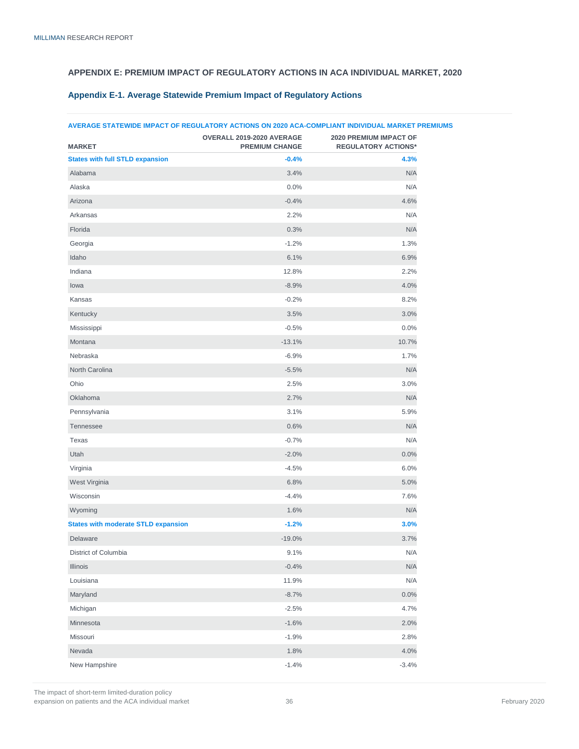### <span id="page-37-0"></span>**APPENDIX E: PREMIUM IMPACT OF REGULATORY ACTIONS IN ACA INDIVIDUAL MARKET, 2020**

### **AVERAGE STATEWIDE IMPACT OF REGULATORY ACTIONS ON 2020 ACA-COMPLIANT INDIVIDUAL MARKET PREMIUMS MARKET OVERALL 2019-2020 AVERAGE PREMIUM CHANGE 2020 PREMIUM IMPACT OF REGULATORY ACTIONS\* States with full STLD expansion 1.3% 4.3% 4.3%** Alabama 3.4% N/A Alaska 0.0% N/A Arizona  $-0.4\%$  4.6% and  $-0.4\%$  4.6% and  $-0.4\%$ Arkansas 2.2% N/A Florida 0.3% N/A Georgia -1.2% 1.3%  $\,$ ldaho $\,$  6.1%  $\,$  6.1%  $\,$  6.1%  $\,$  6.1%  $\,$  6.1%  $\,$  6.9%  $\,$  6.9%  $\,$  $\blacksquare$ Indiana  $2.2\%$  $1$ owa  $4.0\%$  $\epsilon$  Kansas  $\epsilon$  8.2% 8.2% 8.2% Kentucky  $3.0\%$ Mississippi -0.5% 0.0% Montana  $10.7\%$ Nebraska -6.9% 1.7% North Carolina -5.5% N/A  $\rm{O}$ hio  $\rm{O}$ Oklahoma 2.7% N/A Pennsylvania 3.1% 5.9% Tennessee  $0.6\%$  N/A Texas -0.7% N/A Utah  $-2.0\%$  . The contract of the contract of the contract of the contract of the contract of the contract of the contract of the contract of the contract of the contract of the contract of the contract of the contract Virginia -4.5% 6.0% West Virginia 6.8% 5.0%  $\sim$  -4.4%  $\sim$  7.6%  $\sim$  7.6% Wyoming 1.6% N/A **States with moderate STLD expansion -1.2% 3.0%**  $D$ elaware  $3.7\%$ District of Columbia 9.1% N/A Illinois -0.4% N/A Louisiana 11.9% N/A  $\,$  Maryland  $\,$  0.0%  $\,$  0.0%  $\,$  0.0%  $\,$   $\,$  0.0%  $\,$   $\,$  0.0%  $\,$  0.0%  $\,$  0.0%  $\,$  0.0%  $\,$  0.0%  $\,$  0.0%  $\,$  0.0%  $\,$  0.0%  $\,$  0.0%  $\,$  0.0%  $\,$  0.0%  $\,$  0.0%  $\,$  0.0%  $\,$  0.0%  $\,$  0.0%  $\,$  0. Michigan -2.5% 4.7% Minnesota  $2.0\%$ Missouri -1.9% 2.8% Nevada  $4.0\%$ New Hampshire 3.4% -1.4% -3.4%

#### **Appendix E-1. Average Statewide Premium Impact of Regulatory Actions**

The impact of short-term limited-duration policy expansion on patients and the ACA individual market 36 February 2020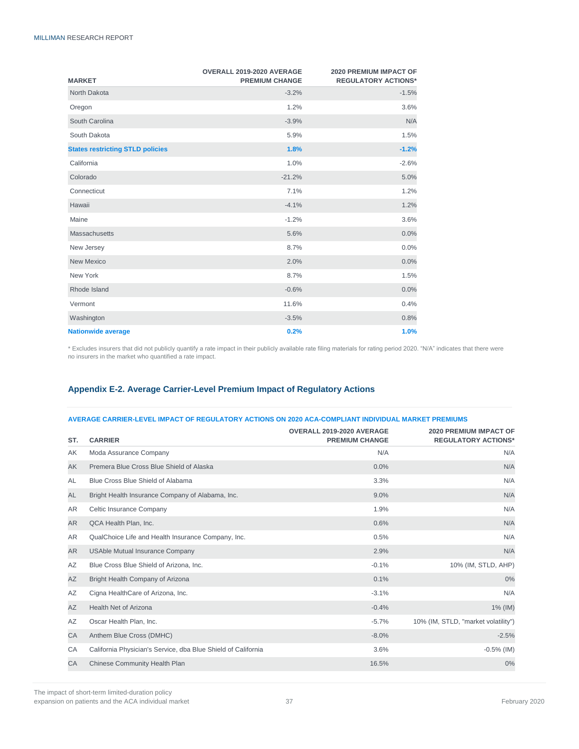| <b>MARKET</b>                           | OVERALL 2019-2020 AVERAGE<br><b>PREMIUM CHANGE</b> | <b>2020 PREMIUM IMPACT OF</b><br><b>REGULATORY ACTIONS*</b> |
|-----------------------------------------|----------------------------------------------------|-------------------------------------------------------------|
| North Dakota                            | $-3.2%$                                            | $-1.5%$                                                     |
| Oregon                                  | 1.2%                                               | 3.6%                                                        |
| South Carolina                          | $-3.9%$                                            | N/A                                                         |
| South Dakota                            | 5.9%                                               | 1.5%                                                        |
| <b>States restricting STLD policies</b> | 1.8%                                               | $-1.2%$                                                     |
| California                              | 1.0%                                               | $-2.6%$                                                     |
| Colorado                                | $-21.2%$                                           | 5.0%                                                        |
| Connecticut                             | 7.1%                                               | 1.2%                                                        |
| Hawaii                                  | $-4.1%$                                            | 1.2%                                                        |
| Maine                                   | $-1.2%$                                            | 3.6%                                                        |
| <b>Massachusetts</b>                    | 5.6%                                               | 0.0%                                                        |
| New Jersey                              | 8.7%                                               | 0.0%                                                        |
| New Mexico                              | 2.0%                                               | 0.0%                                                        |
| New York                                | 8.7%                                               | 1.5%                                                        |
| Rhode Island                            | $-0.6%$                                            | 0.0%                                                        |
| Vermont                                 | 11.6%                                              | 0.4%                                                        |
| Washington                              | $-3.5%$                                            | 0.8%                                                        |
| <b>Nationwide average</b>               | 0.2%                                               | 1.0%                                                        |

\* Excludes insurers that did not publicly quantify a rate impact in their publicly available rate filing materials for rating period 2020. "N/A" indicates that there were no insurers in the market who quantified a rate impact.

### **Appendix E-2. Average Carrier-Level Premium Impact of Regulatory Actions**

#### **AVERAGE CARRIER-LEVEL IMPACT OF REGULATORY ACTIONS ON 2020 ACA-COMPLIANT INDIVIDUAL MARKET PREMIUMS**

| ST.       | <b>CARRIER</b>                                                | OVERALL 2019-2020 AVERAGE<br><b>PREMIUM CHANGE</b> | <b>2020 PREMIUM IMPACT OF</b><br><b>REGULATORY ACTIONS*</b> |
|-----------|---------------------------------------------------------------|----------------------------------------------------|-------------------------------------------------------------|
| AK        | Moda Assurance Company                                        | N/A                                                | N/A                                                         |
| AK        | Premera Blue Cross Blue Shield of Alaska                      | 0.0%                                               | N/A                                                         |
| AL        | Blue Cross Blue Shield of Alabama                             | 3.3%                                               | N/A                                                         |
| AL        | Bright Health Insurance Company of Alabama, Inc.              | 9.0%                                               | N/A                                                         |
| <b>AR</b> | Celtic Insurance Company                                      | 1.9%                                               | N/A                                                         |
| AR        | QCA Health Plan, Inc.                                         | 0.6%                                               | N/A                                                         |
| AR        | QualChoice Life and Health Insurance Company, Inc.            | 0.5%                                               | N/A                                                         |
| AR        | <b>USAble Mutual Insurance Company</b>                        | 2.9%                                               | N/A                                                         |
| AZ        | Blue Cross Blue Shield of Arizona, Inc.                       | $-0.1%$                                            | 10% (IM, STLD, AHP)                                         |
| AZ        | Bright Health Company of Arizona                              | 0.1%                                               | 0%                                                          |
| AZ        | Cigna HealthCare of Arizona, Inc.                             | $-3.1%$                                            | N/A                                                         |
| AZ        | <b>Health Net of Arizona</b>                                  | $-0.4%$                                            | 1% (IM)                                                     |
| AZ        | Oscar Health Plan, Inc.                                       | $-5.7%$                                            | 10% (IM, STLD, "market volatility")                         |
| CA        | Anthem Blue Cross (DMHC)                                      | $-8.0%$                                            | $-2.5%$                                                     |
| CA        | California Physician's Service, dba Blue Shield of California | 3.6%                                               | $-0.5%$ (IM)                                                |
| CA        | Chinese Community Health Plan                                 | 16.5%                                              | 0%                                                          |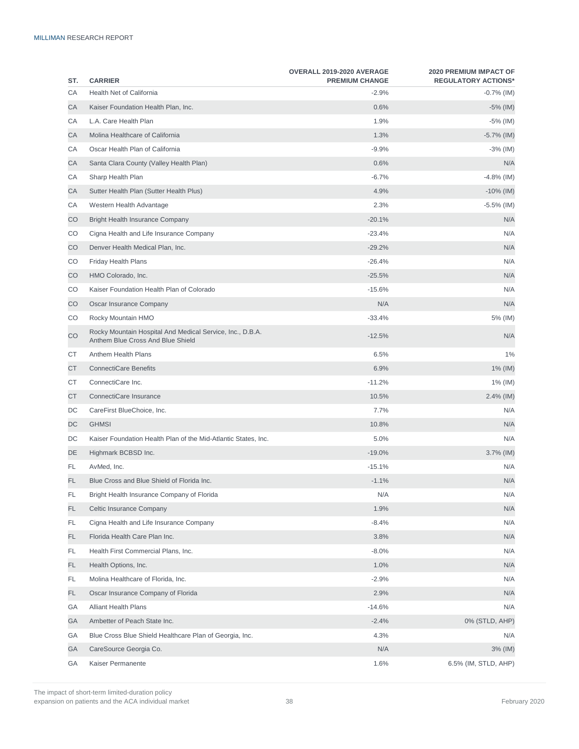| ST. | <b>CARRIER</b>                                                                                 | OVERALL 2019-2020 AVERAGE<br><b>PREMIUM CHANGE</b> | <b>2020 PREMIUM IMPACT OF</b><br><b>REGULATORY ACTIONS*</b> |
|-----|------------------------------------------------------------------------------------------------|----------------------------------------------------|-------------------------------------------------------------|
| СA  | <b>Health Net of California</b>                                                                | $-2.9%$                                            | $-0.7%$ (IM)                                                |
| СA  | Kaiser Foundation Health Plan, Inc.                                                            | 0.6%                                               | $-5\%$ (IM)                                                 |
| СA  | L.A. Care Health Plan                                                                          | 1.9%                                               | -5% (IM)                                                    |
| СA  | Molina Healthcare of California                                                                | 1.3%                                               | $-5.7\%$ (IM)                                               |
| СA  | Oscar Health Plan of California                                                                | $-9.9%$                                            | $-3\%$ (IM)                                                 |
| СA  | Santa Clara County (Valley Health Plan)                                                        | 0.6%                                               | N/A                                                         |
| СA  | Sharp Health Plan                                                                              | $-6.7%$                                            | $-4.8%$ (IM)                                                |
| СA  | Sutter Health Plan (Sutter Health Plus)                                                        | 4.9%                                               | $-10\%$ (IM)                                                |
| СA  | Western Health Advantage                                                                       | 2.3%                                               | $-5.5\%$ (IM)                                               |
| CO  | <b>Bright Health Insurance Company</b>                                                         | $-20.1%$                                           | N/A                                                         |
| CO  | Cigna Health and Life Insurance Company                                                        | $-23.4%$                                           | N/A                                                         |
| CO  | Denver Health Medical Plan, Inc.                                                               | $-29.2%$                                           | N/A                                                         |
| CO  | <b>Friday Health Plans</b>                                                                     | $-26.4%$                                           | N/A                                                         |
| CO  | HMO Colorado, Inc.                                                                             | $-25.5%$                                           | N/A                                                         |
| CO  | Kaiser Foundation Health Plan of Colorado                                                      | $-15.6%$                                           | N/A                                                         |
| CO  | Oscar Insurance Company                                                                        | N/A                                                | N/A                                                         |
| CO  | Rocky Mountain HMO                                                                             | $-33.4%$                                           | 5% (IM)                                                     |
| CO  | Rocky Mountain Hospital And Medical Service, Inc., D.B.A.<br>Anthem Blue Cross And Blue Shield | $-12.5%$                                           | N/A                                                         |
| СT  | Anthem Health Plans                                                                            | 6.5%                                               | 1%                                                          |
| СT  | <b>ConnectiCare Benefits</b>                                                                   | 6.9%                                               | 1% (IM)                                                     |
| СT  | ConnectiCare Inc.                                                                              | $-11.2%$                                           | $1\%$ (IM)                                                  |
| СT  | ConnectiCare Insurance                                                                         | 10.5%                                              | 2.4% (IM)                                                   |
| DC  | CareFirst BlueChoice, Inc.                                                                     | 7.7%                                               | N/A                                                         |
| DC  | <b>GHMSI</b>                                                                                   | 10.8%                                              | N/A                                                         |
| DC  | Kaiser Foundation Health Plan of the Mid-Atlantic States, Inc.                                 | 5.0%                                               | N/A                                                         |
| DE  | Highmark BCBSD Inc.                                                                            | $-19.0%$                                           | $3.7\%$ (IM)                                                |
| FL  | AvMed, Inc.                                                                                    | $-15.1%$                                           | N/A                                                         |
| FL  | Blue Cross and Blue Shield of Florida Inc.                                                     | $-1.1%$                                            | N/A                                                         |
| FL  | Bright Health Insurance Company of Florida                                                     | N/A                                                | N/A                                                         |
| FL. | Celtic Insurance Company                                                                       | 1.9%                                               | N/A                                                         |
| FL  | Cigna Health and Life Insurance Company                                                        | $-8.4%$                                            | N/A                                                         |
| FL. | Florida Health Care Plan Inc.                                                                  | 3.8%                                               | N/A                                                         |
| FL. | Health First Commercial Plans, Inc.                                                            | $-8.0%$                                            | N/A                                                         |
| FL. | Health Options, Inc.                                                                           | 1.0%                                               | N/A                                                         |
| FL. | Molina Healthcare of Florida, Inc.                                                             | $-2.9%$                                            | N/A                                                         |
| FL. | Oscar Insurance Company of Florida                                                             | 2.9%                                               | N/A                                                         |
| GА  | <b>Alliant Health Plans</b>                                                                    | $-14.6%$                                           | N/A                                                         |
| GА  | Ambetter of Peach State Inc.                                                                   | $-2.4%$                                            | 0% (STLD, AHP)                                              |
| GА  | Blue Cross Blue Shield Healthcare Plan of Georgia, Inc.                                        | 4.3%                                               | N/A                                                         |
| GА  | CareSource Georgia Co.                                                                         | N/A                                                | 3% (IM)                                                     |
| GА  | Kaiser Permanente                                                                              | 1.6%                                               | 6.5% (IM, STLD, AHP)                                        |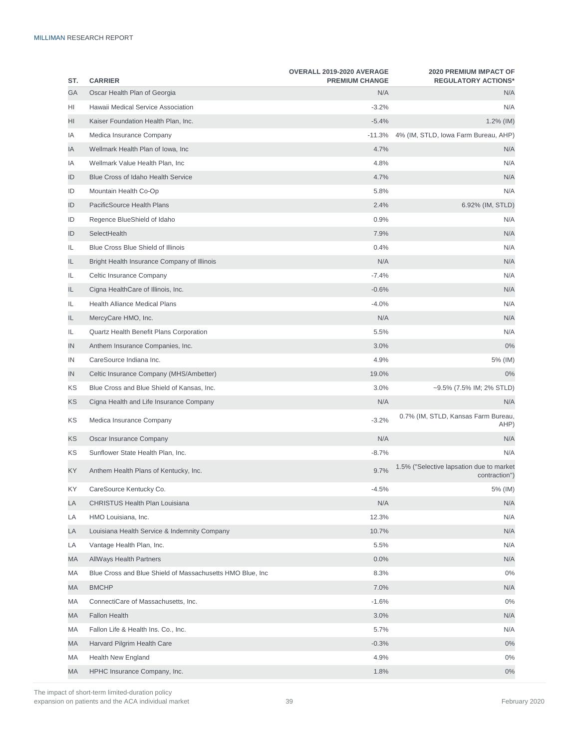| ST. | <b>CARRIER</b>                                             | OVERALL 2019-2020 AVERAGE<br><b>PREMIUM CHANGE</b> | <b>2020 PREMIUM IMPACT OF</b><br><b>REGULATORY ACTIONS*</b> |
|-----|------------------------------------------------------------|----------------------------------------------------|-------------------------------------------------------------|
| GА  | Oscar Health Plan of Georgia                               | N/A                                                | N/A                                                         |
| HI  | Hawaii Medical Service Association                         | $-3.2%$                                            | N/A                                                         |
| HI  | Kaiser Foundation Health Plan, Inc.                        | $-5.4%$                                            | $1.2\%$ (IM)                                                |
| ΙA  | Medica Insurance Company                                   | $-11.3%$                                           | 4% (IM, STLD, Iowa Farm Bureau, AHP)                        |
| ΙA  | Wellmark Health Plan of Iowa, Inc                          | 4.7%                                               | N/A                                                         |
| ΙA  | Wellmark Value Health Plan, Inc                            | 4.8%                                               | N/A                                                         |
| ID  | <b>Blue Cross of Idaho Health Service</b>                  | 4.7%                                               | N/A                                                         |
| ID  | Mountain Health Co-Op                                      | 5.8%                                               | N/A                                                         |
| ID  | PacificSource Health Plans                                 | 2.4%                                               | 6.92% (IM, STLD)                                            |
| ID  | Regence BlueShield of Idaho                                | 0.9%                                               | N/A                                                         |
| ID  | SelectHealth                                               | 7.9%                                               | N/A                                                         |
| IL  | <b>Blue Cross Blue Shield of Illinois</b>                  | 0.4%                                               | N/A                                                         |
| IL. | Bright Health Insurance Company of Illinois                | N/A                                                | N/A                                                         |
| IL  | Celtic Insurance Company                                   | $-7.4%$                                            | N/A                                                         |
| IL. | Cigna HealthCare of Illinois, Inc.                         | $-0.6%$                                            | N/A                                                         |
| IL  | <b>Health Alliance Medical Plans</b>                       | $-4.0%$                                            | N/A                                                         |
| IL. | MercyCare HMO, Inc.                                        | N/A                                                | N/A                                                         |
| IL  | Quartz Health Benefit Plans Corporation                    | 5.5%                                               | N/A                                                         |
| IN  | Anthem Insurance Companies, Inc.                           | 3.0%                                               | $0\%$                                                       |
| IN  | CareSource Indiana Inc.                                    | 4.9%                                               | 5% (IM)                                                     |
| IN  | Celtic Insurance Company (MHS/Ambetter)                    | 19.0%                                              | 0%                                                          |
| ΚS  | Blue Cross and Blue Shield of Kansas, Inc.                 | 3.0%                                               | ~9.5% (7.5% IM; 2% STLD)                                    |
| ΚS  | Cigna Health and Life Insurance Company                    | N/A                                                | N/A                                                         |
| ΚS  | Medica Insurance Company                                   | $-3.2%$                                            | 0.7% (IM, STLD, Kansas Farm Bureau,<br>AHP)                 |
| ΚS  | Oscar Insurance Company                                    | N/A                                                | N/A                                                         |
| ΚS  | Sunflower State Health Plan, Inc.                          | $-8.7%$                                            | N/A                                                         |
| ΚY  | Anthem Health Plans of Kentucky, Inc.                      | 9.7%                                               | 1.5% ("Selective lapsation due to market<br>contraction")   |
| ΚY  | CareSource Kentucky Co.                                    | $-4.5%$                                            | 5% (IM)                                                     |
| LA  | CHRISTUS Health Plan Louisiana                             | N/A                                                | N/A                                                         |
| LA  | HMO Louisiana, Inc.                                        | 12.3%                                              | N/A                                                         |
| LA  | Louisiana Health Service & Indemnity Company               | 10.7%                                              | N/A                                                         |
| LA  | Vantage Health Plan, Inc.                                  | 5.5%                                               | N/A                                                         |
| МA  | <b>AllWays Health Partners</b>                             | 0.0%                                               | N/A                                                         |
| МA  | Blue Cross and Blue Shield of Massachusetts HMO Blue, Inc. | 8.3%                                               | $0\%$                                                       |
| МA  | <b>BMCHP</b>                                               | 7.0%                                               | N/A                                                         |
| МA  | ConnectiCare of Massachusetts, Inc.                        | $-1.6%$                                            | $0\%$                                                       |
| МA  | <b>Fallon Health</b>                                       | 3.0%                                               | N/A                                                         |
| МA  | Fallon Life & Health Ins. Co., Inc.                        | 5.7%                                               | N/A                                                         |
| МA  | Harvard Pilgrim Health Care                                | $-0.3%$                                            | $0\%$                                                       |
| МA  | <b>Health New England</b>                                  | 4.9%                                               | $0\%$                                                       |
| МA  | HPHC Insurance Company, Inc.                               | 1.8%                                               | $0\%$                                                       |

The impact of short-term limited-duration policy expansion on patients and the ACA individual market 39 February 2020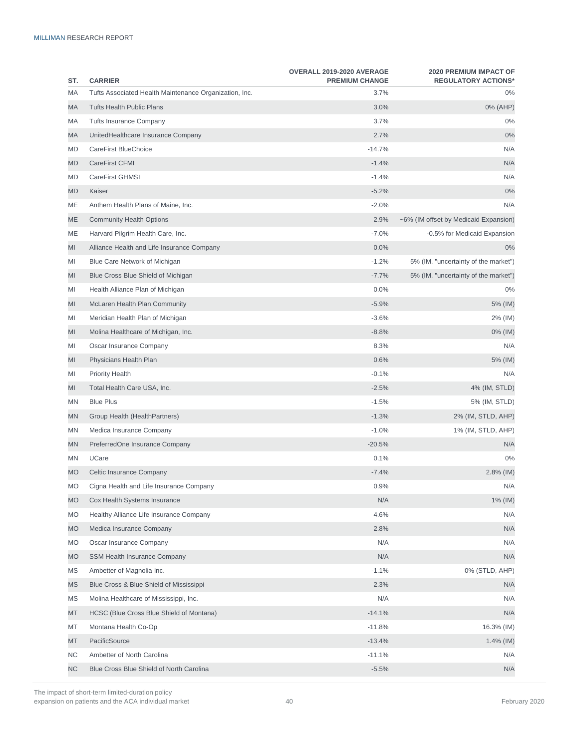| ST.       | <b>CARRIER</b>                                         | OVERALL 2019-2020 AVERAGE<br><b>PREMIUM CHANGE</b> | <b>2020 PREMIUM IMPACT OF</b><br><b>REGULATORY ACTIONS*</b> |
|-----------|--------------------------------------------------------|----------------------------------------------------|-------------------------------------------------------------|
| МA        | Tufts Associated Health Maintenance Organization, Inc. | 3.7%                                               | 0%                                                          |
| МA        | <b>Tufts Health Public Plans</b>                       | 3.0%                                               | 0% (AHP)                                                    |
| МA        | <b>Tufts Insurance Company</b>                         | 3.7%                                               | 0%                                                          |
| МA        | UnitedHealthcare Insurance Company                     | 2.7%                                               | 0%                                                          |
| MD        | CareFirst BlueChoice                                   | $-14.7%$                                           | N/A                                                         |
| MD        | CareFirst CFMI                                         | $-1.4%$                                            | N/A                                                         |
| MD        | CareFirst GHMSI                                        | $-1.4%$                                            | N/A                                                         |
| MD        | Kaiser                                                 | $-5.2%$                                            | 0%                                                          |
| МE        | Anthem Health Plans of Maine, Inc.                     | $-2.0%$                                            | N/A                                                         |
| МE        | <b>Community Health Options</b>                        | 2.9%                                               | ~6% (IM offset by Medicaid Expansion)                       |
| МE        | Harvard Pilgrim Health Care, Inc.                      | $-7.0%$                                            | -0.5% for Medicaid Expansion                                |
| MI        | Alliance Health and Life Insurance Company             | 0.0%                                               | 0%                                                          |
| MI        | Blue Care Network of Michigan                          | $-1.2%$                                            | 5% (IM, "uncertainty of the market")                        |
| MI        | Blue Cross Blue Shield of Michigan                     | $-7.7%$                                            | 5% (IM, "uncertainty of the market")                        |
| MI        | Health Alliance Plan of Michigan                       | 0.0%                                               | $0\%$                                                       |
| MI        | McLaren Health Plan Community                          | $-5.9%$                                            | 5% (IM)                                                     |
| MI        | Meridian Health Plan of Michigan                       | $-3.6%$                                            | 2% (IM)                                                     |
| MI        | Molina Healthcare of Michigan, Inc.                    | $-8.8%$                                            | 0% (IM)                                                     |
| MI        | Oscar Insurance Company                                | 8.3%                                               | N/A                                                         |
| MI        | Physicians Health Plan                                 | 0.6%                                               | 5% (IM)                                                     |
| MI        | <b>Priority Health</b>                                 | $-0.1%$                                            | N/A                                                         |
| MI        | Total Health Care USA, Inc.                            | $-2.5%$                                            | 4% (IM, STLD)                                               |
| ΜN        | <b>Blue Plus</b>                                       | $-1.5%$                                            | 5% (IM, STLD)                                               |
| ΜN        | Group Health (HealthPartners)                          | $-1.3%$                                            | 2% (IM, STLD, AHP)                                          |
| ΜN        | Medica Insurance Company                               | $-1.0%$                                            | 1% (IM, STLD, AHP)                                          |
| ΜN        | PreferredOne Insurance Company                         | $-20.5%$                                           | N/A                                                         |
| MN        | UCare                                                  | 0.1%                                               | 0%                                                          |
| <b>MO</b> | Celtic Insurance Company                               | $-7.4%$                                            | $2.8\%$ (IM)                                                |
| МO        | Cigna Health and Life Insurance Company                | 0.9%                                               | N/A                                                         |
| MO        | Cox Health Systems Insurance                           | N/A                                                | 1% (IM)                                                     |
| МO        | Healthy Alliance Life Insurance Company                | 4.6%                                               | N/A                                                         |
| MO        | Medica Insurance Company                               | 2.8%                                               | N/A                                                         |
| МO        | Oscar Insurance Company                                | N/A                                                | N/A                                                         |
| МO        | SSM Health Insurance Company                           | N/A                                                | N/A                                                         |
| ΜS        | Ambetter of Magnolia Inc.                              | $-1.1%$                                            | 0% (STLD, AHP)                                              |
| ΜS        | Blue Cross & Blue Shield of Mississippi                | 2.3%                                               | N/A                                                         |
| ΜS        | Molina Healthcare of Mississippi, Inc.                 | N/A                                                | N/A                                                         |
| MT        | HCSC (Blue Cross Blue Shield of Montana)               | $-14.1%$                                           | N/A                                                         |
| МT        | Montana Health Co-Op                                   | $-11.8%$                                           | 16.3% (IM)                                                  |
| MT        | PacificSource                                          | $-13.4%$                                           | 1.4% (IM)                                                   |
| ΝC        | Ambetter of North Carolina                             | $-11.1%$                                           | N/A                                                         |
| ΝC        | Blue Cross Blue Shield of North Carolina               | $-5.5%$                                            | N/A                                                         |

The impact of short-term limited-duration policy expansion on patients and the ACA individual market  $\sim$  40 February 2020 February 2020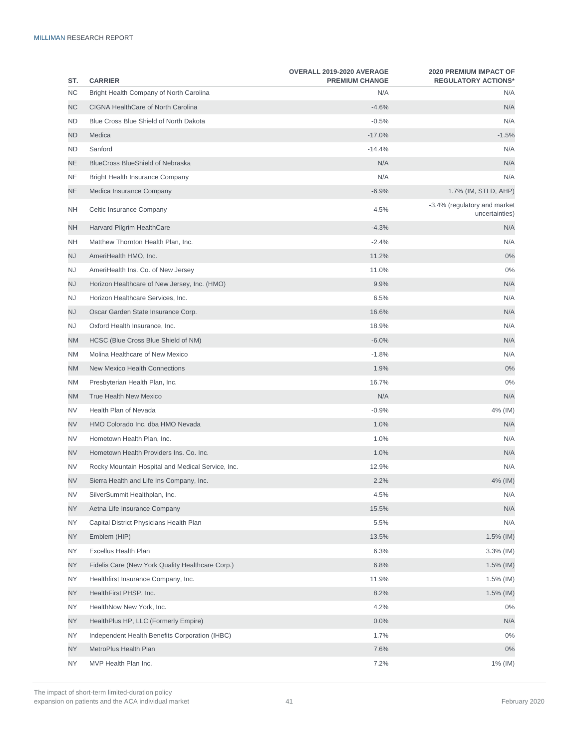| ST.       | <b>CARRIER</b>                                    | OVERALL 2019-2020 AVERAGE<br><b>PREMIUM CHANGE</b> | <b>2020 PREMIUM IMPACT OF</b><br><b>REGULATORY ACTIONS*</b> |
|-----------|---------------------------------------------------|----------------------------------------------------|-------------------------------------------------------------|
| <b>NC</b> | Bright Health Company of North Carolina           | N/A                                                | N/A                                                         |
| ΝC        | CIGNA HealthCare of North Carolina                | $-4.6%$                                            | N/A                                                         |
| <b>ND</b> | Blue Cross Blue Shield of North Dakota            | $-0.5%$                                            | N/A                                                         |
| ND        | Medica                                            | $-17.0%$                                           | $-1.5%$                                                     |
| <b>ND</b> | Sanford                                           | $-14.4%$                                           | N/A                                                         |
| ΝE        | <b>BlueCross BlueShield of Nebraska</b>           | N/A                                                | N/A                                                         |
| <b>NE</b> | Bright Health Insurance Company                   | N/A                                                | N/A                                                         |
| NE.       | Medica Insurance Company                          | $-6.9%$                                            | 1.7% (IM, STLD, AHP)                                        |
| <b>NH</b> | Celtic Insurance Company                          | 4.5%                                               | -3.4% (regulatory and market<br>uncertainties)              |
| NΗ        | Harvard Pilgrim HealthCare                        | $-4.3%$                                            | N/A                                                         |
| <b>NH</b> | Matthew Thornton Health Plan, Inc.                | $-2.4%$                                            | N/A                                                         |
| NJ        | AmeriHealth HMO, Inc.                             | 11.2%                                              | 0%                                                          |
| <b>NJ</b> | AmeriHealth Ins. Co. of New Jersey                | 11.0%                                              | 0%                                                          |
| NJ        | Horizon Healthcare of New Jersey, Inc. (HMO)      | 9.9%                                               | N/A                                                         |
| <b>NJ</b> | Horizon Healthcare Services, Inc.                 | 6.5%                                               | N/A                                                         |
| NJ        | Oscar Garden State Insurance Corp.                | 16.6%                                              | N/A                                                         |
| <b>NJ</b> | Oxford Health Insurance, Inc.                     | 18.9%                                              | N/A                                                         |
| ΝM        | HCSC (Blue Cross Blue Shield of NM)               | $-6.0%$                                            | N/A                                                         |
| NM        | Molina Healthcare of New Mexico                   | $-1.8%$                                            | N/A                                                         |
| ΝM        | New Mexico Health Connections                     | 1.9%                                               | 0%                                                          |
| <b>NM</b> | Presbyterian Health Plan, Inc.                    | 16.7%                                              | 0%                                                          |
| ΝM        | <b>True Health New Mexico</b>                     | N/A                                                | N/A                                                         |
| <b>NV</b> | Health Plan of Nevada                             | $-0.9%$                                            | 4% (IM)                                                     |
| NV        | HMO Colorado Inc. dba HMO Nevada                  | 1.0%                                               | N/A                                                         |
| <b>NV</b> | Hometown Health Plan, Inc.                        | 1.0%                                               | N/A                                                         |
| NV        | Hometown Health Providers Ins. Co. Inc.           | 1.0%                                               | N/A                                                         |
| <b>NV</b> | Rocky Mountain Hospital and Medical Service, Inc. | 12.9%                                              | N/A                                                         |
| ΝV        | Sierra Health and Life Ins Company, Inc.          | 2.2%                                               | 4% (IM)                                                     |
| <b>NV</b> | SilverSummit Healthplan, Inc.                     | 4.5%                                               | N/A                                                         |
| NY.       | Aetna Life Insurance Company                      | 15.5%                                              | N/A                                                         |
| <b>NY</b> | Capital District Physicians Health Plan           | 5.5%                                               | N/A                                                         |
| <b>NY</b> | Emblem (HIP)                                      | 13.5%                                              | 1.5% (IM)                                                   |
| <b>NY</b> | Excellus Health Plan                              | 6.3%                                               | $3.3\%$ (IM)                                                |
| <b>NY</b> | Fidelis Care (New York Quality Healthcare Corp.)  | 6.8%                                               | 1.5% (IM)                                                   |
| <b>NY</b> | Healthfirst Insurance Company, Inc.               | 11.9%                                              | $1.5\%$ (IM)                                                |
| <b>NY</b> | HealthFirst PHSP, Inc.                            | 8.2%                                               | 1.5% (IM)                                                   |
| <b>NY</b> | HealthNow New York, Inc.                          | 4.2%                                               | 0%                                                          |
| <b>NY</b> | HealthPlus HP, LLC (Formerly Empire)              | 0.0%                                               | N/A                                                         |
| <b>NY</b> | Independent Health Benefits Corporation (IHBC)    | 1.7%                                               | $0\%$                                                       |
| <b>NY</b> | MetroPlus Health Plan                             | 7.6%                                               | 0%                                                          |
| <b>NY</b> | MVP Health Plan Inc.                              | 7.2%                                               | 1% (IM)                                                     |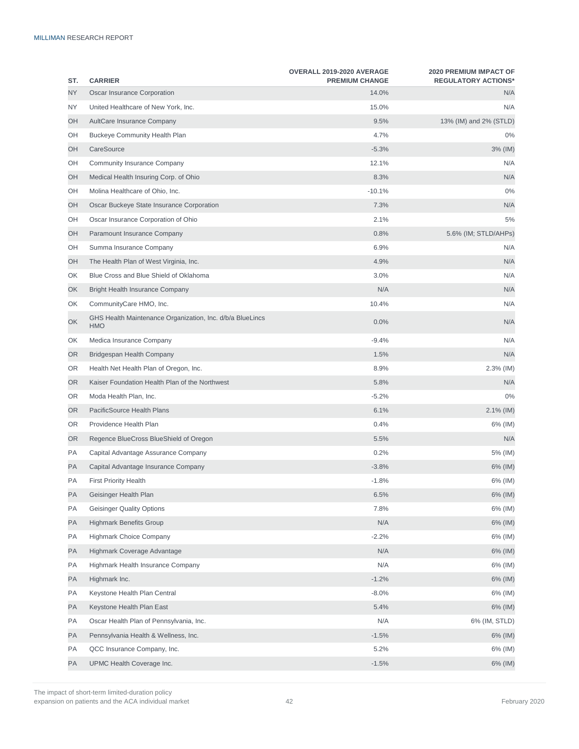| ST. | <b>CARRIER</b>                                                          | OVERALL 2019-2020 AVERAGE<br><b>PREMIUM CHANGE</b> | <b>2020 PREMIUM IMPACT OF</b><br><b>REGULATORY ACTIONS*</b> |
|-----|-------------------------------------------------------------------------|----------------------------------------------------|-------------------------------------------------------------|
| NY. | Oscar Insurance Corporation                                             | 14.0%                                              | N/A                                                         |
| NY. | United Healthcare of New York, Inc.                                     | 15.0%                                              | N/A                                                         |
| OH  | AultCare Insurance Company                                              | 9.5%                                               | 13% (IM) and 2% (STLD)                                      |
| OH  | <b>Buckeye Community Health Plan</b>                                    | 4.7%                                               | $0\%$                                                       |
| OH  | CareSource                                                              | $-5.3%$                                            | 3% (IM)                                                     |
| OH  | Community Insurance Company                                             | 12.1%                                              | N/A                                                         |
| OH  | Medical Health Insuring Corp. of Ohio                                   | 8.3%                                               | N/A                                                         |
| OH  | Molina Healthcare of Ohio, Inc.                                         | $-10.1%$                                           | 0%                                                          |
| OH  | Oscar Buckeye State Insurance Corporation                               | 7.3%                                               | N/A                                                         |
| OH  | Oscar Insurance Corporation of Ohio                                     | 2.1%                                               | 5%                                                          |
| OH  | Paramount Insurance Company                                             | 0.8%                                               | 5.6% (IM; STLD/AHPs)                                        |
| OH  | Summa Insurance Company                                                 | 6.9%                                               | N/A                                                         |
| OН  | The Health Plan of West Virginia, Inc.                                  | 4.9%                                               | N/A                                                         |
| ОK  | Blue Cross and Blue Shield of Oklahoma                                  | 3.0%                                               | N/A                                                         |
| OK  | <b>Bright Health Insurance Company</b>                                  | N/A                                                | N/A                                                         |
| ОK  | CommunityCare HMO, Inc.                                                 | 10.4%                                              | N/A                                                         |
| OK  | GHS Health Maintenance Organization, Inc. d/b/a BlueLincs<br><b>HMO</b> | 0.0%                                               | N/A                                                         |
| ОK  | Medica Insurance Company                                                | $-9.4%$                                            | N/A                                                         |
| OR  | Bridgespan Health Company                                               | 1.5%                                               | N/A                                                         |
| OR  | Health Net Health Plan of Oregon, Inc.                                  | 8.9%                                               | $2.3\%$ (IM)                                                |
| OR  | Kaiser Foundation Health Plan of the Northwest                          | 5.8%                                               | N/A                                                         |
| OR  | Moda Health Plan, Inc.                                                  | $-5.2%$                                            | 0%                                                          |
| OR  | PacificSource Health Plans                                              | 6.1%                                               | $2.1\%$ (IM)                                                |
| OR  | Providence Health Plan                                                  | 0.4%                                               | 6% (IM)                                                     |
| OR. | Regence BlueCross BlueShield of Oregon                                  | 5.5%                                               | N/A                                                         |
| PA  | Capital Advantage Assurance Company                                     | 0.2%                                               | 5% (IM)                                                     |
| PA  | Capital Advantage Insurance Company                                     | $-3.8%$                                            | 6% (IM)                                                     |
| PA  | <b>First Priority Health</b>                                            | $-1.8%$                                            | 6% (IM)                                                     |
| PA  | Geisinger Health Plan                                                   | 6.5%                                               | 6% (IM)                                                     |
| PA  | Geisinger Quality Options                                               | 7.8%                                               | 6% (IM)                                                     |
| PA  | <b>Highmark Benefits Group</b>                                          | N/A                                                | 6% (IM)                                                     |
| PA  | <b>Highmark Choice Company</b>                                          | $-2.2%$                                            | 6% (IM)                                                     |
| PA  | Highmark Coverage Advantage                                             | N/A                                                | 6% (IM)                                                     |
| PA  | Highmark Health Insurance Company                                       | N/A                                                | 6% (IM)                                                     |
| PA  | Highmark Inc.                                                           | $-1.2%$                                            | 6% (IM)                                                     |
| PA  | Keystone Health Plan Central                                            | $-8.0\%$                                           | 6% (IM)                                                     |
| PA  | Keystone Health Plan East                                               | 5.4%                                               | 6% (IM)                                                     |
| PA  | Oscar Health Plan of Pennsylvania, Inc.                                 | N/A                                                | 6% (IM, STLD)                                               |
| PA  | Pennsylvania Health & Wellness, Inc.                                    | $-1.5%$                                            | 6% (IM)                                                     |
| PA  | QCC Insurance Company, Inc.                                             | 5.2%                                               | 6% (IM)                                                     |
| PA  | UPMC Health Coverage Inc.                                               | $-1.5%$                                            | 6% (IM)                                                     |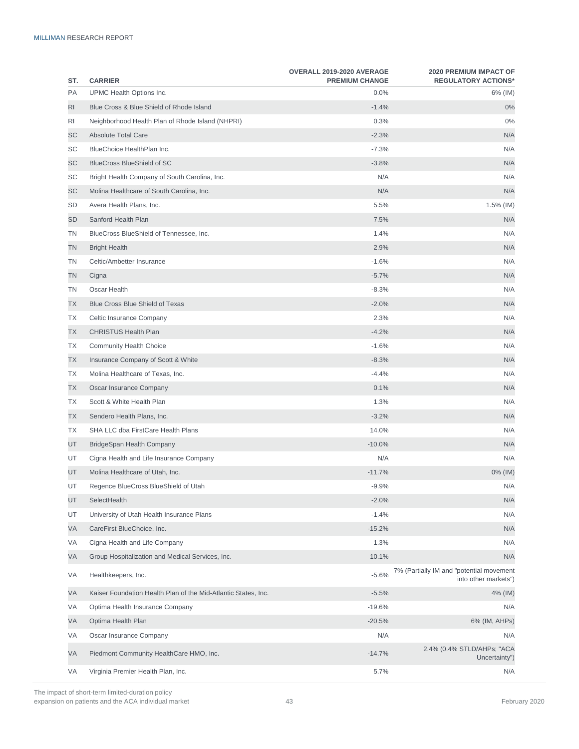| ST. | <b>CARRIER</b>                                                 | OVERALL 2019-2020 AVERAGE<br><b>PREMIUM CHANGE</b> | <b>2020 PREMIUM IMPACT OF</b><br><b>REGULATORY ACTIONS*</b>      |
|-----|----------------------------------------------------------------|----------------------------------------------------|------------------------------------------------------------------|
| PA  | UPMC Health Options Inc.                                       | 0.0%                                               | 6% (IM)                                                          |
| RI  | Blue Cross & Blue Shield of Rhode Island                       | $-1.4%$                                            | 0%                                                               |
| RI  | Neighborhood Health Plan of Rhode Island (NHPRI)               | 0.3%                                               | 0%                                                               |
| SC  | <b>Absolute Total Care</b>                                     | $-2.3%$                                            | N/A                                                              |
| SC  | BlueChoice HealthPlan Inc.                                     | $-7.3%$                                            | N/A                                                              |
| SC  | <b>BlueCross BlueShield of SC</b>                              | $-3.8%$                                            | N/A                                                              |
| SC  | Bright Health Company of South Carolina, Inc.                  | N/A                                                | N/A                                                              |
| SC  | Molina Healthcare of South Carolina, Inc.                      | N/A                                                | N/A                                                              |
| SD  | Avera Health Plans, Inc.                                       | 5.5%                                               | 1.5% (IM)                                                        |
| SD  | Sanford Health Plan                                            | 7.5%                                               | N/A                                                              |
| ΤN  | BlueCross BlueShield of Tennessee, Inc.                        | 1.4%                                               | N/A                                                              |
| ΤN  | <b>Bright Health</b>                                           | 2.9%                                               | N/A                                                              |
| ΤN  | Celtic/Ambetter Insurance                                      | $-1.6%$                                            | N/A                                                              |
| ΤN  | Cigna                                                          | $-5.7%$                                            | N/A                                                              |
| ΤN  | Oscar Health                                                   | $-8.3%$                                            | N/A                                                              |
| ТX  | <b>Blue Cross Blue Shield of Texas</b>                         | $-2.0%$                                            | N/A                                                              |
| ТX  | Celtic Insurance Company                                       | 2.3%                                               | N/A                                                              |
| TX  | <b>CHRISTUS Health Plan</b>                                    | $-4.2%$                                            | N/A                                                              |
| ТX  | <b>Community Health Choice</b>                                 | $-1.6%$                                            | N/A                                                              |
| TX  | Insurance Company of Scott & White                             | $-8.3%$                                            | N/A                                                              |
| ТX  | Molina Healthcare of Texas, Inc.                               | $-4.4%$                                            | N/A                                                              |
| ТX  | Oscar Insurance Company                                        | 0.1%                                               | N/A                                                              |
| ТX  | Scott & White Health Plan                                      | 1.3%                                               | N/A                                                              |
| ТX  | Sendero Health Plans, Inc.                                     | $-3.2%$                                            | N/A                                                              |
| ТX  | SHA LLC dba FirstCare Health Plans                             | 14.0%                                              | N/A                                                              |
| UT  | BridgeSpan Health Company                                      | $-10.0%$                                           | N/A                                                              |
| UT  | Cigna Health and Life Insurance Company                        | N/A                                                | N/A                                                              |
| UT  | Molina Healthcare of Utah, Inc.                                | $-11.7%$                                           | 0% (IM)                                                          |
| UT  | Regence BlueCross BlueShield of Utah                           | $-9.9\%$                                           | N/A                                                              |
| UT  | SelectHealth                                                   | $-2.0%$                                            | N/A                                                              |
| UT  | University of Utah Health Insurance Plans                      | $-1.4%$                                            | N/A                                                              |
| VA  | CareFirst BlueChoice, Inc.                                     | $-15.2%$                                           | N/A                                                              |
| VA  | Cigna Health and Life Company                                  | 1.3%                                               | N/A                                                              |
| VA  | Group Hospitalization and Medical Services, Inc.               | 10.1%                                              | N/A                                                              |
| VA  | Healthkeepers, Inc.                                            | $-5.6%$                                            | 7% (Partially IM and "potential movement<br>into other markets") |
| VA  | Kaiser Foundation Health Plan of the Mid-Atlantic States, Inc. | $-5.5%$                                            | 4% (IM)                                                          |
| VA  | Optima Health Insurance Company                                | $-19.6%$                                           | N/A                                                              |
| VA  | Optima Health Plan                                             | $-20.5%$                                           | 6% (IM, AHPs)                                                    |
| VA  | Oscar Insurance Company                                        | N/A                                                | N/A                                                              |
| VA  | Piedmont Community HealthCare HMO, Inc.                        | $-14.7%$                                           | 2.4% (0.4% STLD/AHPs; "ACA<br>Uncertainty")                      |
| VA  | Virginia Premier Health Plan, Inc.                             | 5.7%                                               | N/A                                                              |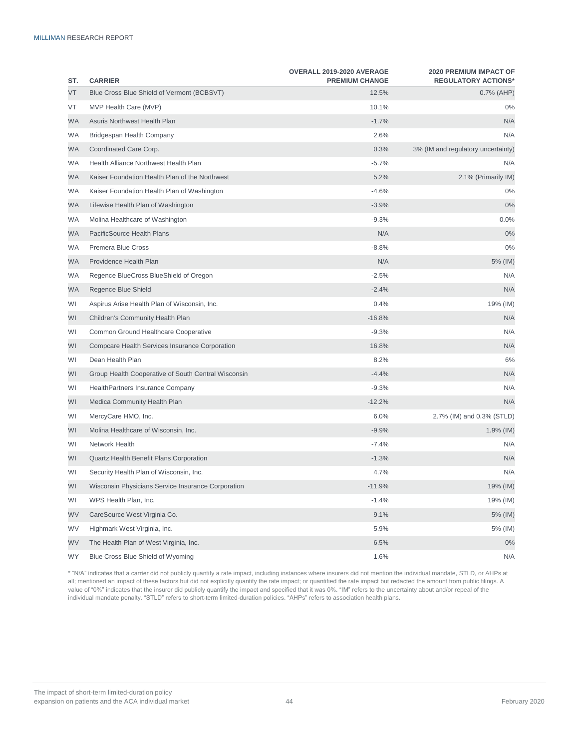| ST.       | <b>CARRIER</b>                                      | OVERALL 2019-2020 AVERAGE<br><b>PREMIUM CHANGE</b> | <b>2020 PREMIUM IMPACT OF</b><br><b>REGULATORY ACTIONS*</b> |
|-----------|-----------------------------------------------------|----------------------------------------------------|-------------------------------------------------------------|
| VT        | Blue Cross Blue Shield of Vermont (BCBSVT)          | 12.5%                                              | $0.7\%$ (AHP)                                               |
| VT        | MVP Health Care (MVP)                               | 10.1%                                              | $0\%$                                                       |
| WA        | Asuris Northwest Health Plan                        | $-1.7%$                                            | N/A                                                         |
| <b>WA</b> | Bridgespan Health Company                           | 2.6%                                               | N/A                                                         |
| WA        | Coordinated Care Corp.                              | 0.3%                                               | 3% (IM and regulatory uncertainty)                          |
| WA        | Health Alliance Northwest Health Plan               | $-5.7%$                                            | N/A                                                         |
| WA        | Kaiser Foundation Health Plan of the Northwest      | 5.2%                                               | 2.1% (Primarily IM)                                         |
| WA        | Kaiser Foundation Health Plan of Washington         | $-4.6%$                                            | $0\%$                                                       |
| WA        | Lifewise Health Plan of Washington                  | $-3.9%$                                            | 0%                                                          |
| WA        | Molina Healthcare of Washington                     | $-9.3%$                                            | 0.0%                                                        |
| WA        | PacificSource Health Plans                          | N/A                                                | 0%                                                          |
| <b>WA</b> | Premera Blue Cross                                  | $-8.8%$                                            | 0%                                                          |
| WA        | Providence Health Plan                              | N/A                                                | 5% (IM)                                                     |
| <b>WA</b> | Regence BlueCross BlueShield of Oregon              | $-2.5%$                                            | N/A                                                         |
| WA        | Regence Blue Shield                                 | $-2.4%$                                            | N/A                                                         |
| WI        | Aspirus Arise Health Plan of Wisconsin, Inc.        | 0.4%                                               | 19% (IM)                                                    |
| WI        | <b>Children's Community Health Plan</b>             | $-16.8%$                                           | N/A                                                         |
| WI        | Common Ground Healthcare Cooperative                | $-9.3%$                                            | N/A                                                         |
| WI        | Compcare Health Services Insurance Corporation      | 16.8%                                              | N/A                                                         |
| WI        | Dean Health Plan                                    | 8.2%                                               | 6%                                                          |
| WI        | Group Health Cooperative of South Central Wisconsin | $-4.4%$                                            | N/A                                                         |
| WI        | HealthPartners Insurance Company                    | $-9.3%$                                            | N/A                                                         |
| WI        | Medica Community Health Plan                        | $-12.2%$                                           | N/A                                                         |
| WI        | MercyCare HMO, Inc.                                 | 6.0%                                               | 2.7% (IM) and 0.3% (STLD)                                   |
| WI        | Molina Healthcare of Wisconsin, Inc.                | $-9.9%$                                            | 1.9% (IM)                                                   |
| WI        | Network Health                                      | $-7.4%$                                            | N/A                                                         |
| WI        | Quartz Health Benefit Plans Corporation             | $-1.3%$                                            | N/A                                                         |
| WI        | Security Health Plan of Wisconsin, Inc.             | 4.7%                                               | N/A                                                         |
| WI        | Wisconsin Physicians Service Insurance Corporation  | $-11.9%$                                           | 19% (IM)                                                    |
| WI        | WPS Health Plan, Inc.                               | $-1.4%$                                            | 19% (IM)                                                    |
| WV        | CareSource West Virginia Co.                        | 9.1%                                               | 5% (IM)                                                     |
| WV        | Highmark West Virginia, Inc.                        | 5.9%                                               | 5% (IM)                                                     |
| WV        | The Health Plan of West Virginia, Inc.              | 6.5%                                               | 0%                                                          |
| WY        | Blue Cross Blue Shield of Wyoming                   | 1.6%                                               | N/A                                                         |

\* "N/A" indicates that a carrier did not publicly quantify a rate impact, including instances where insurers did not mention the individual mandate, STLD, or AHPs at all; mentioned an impact of these factors but did not explicitly quantify the rate impact; or quantified the rate impact but redacted the amount from public filings. A value of "0%" indicates that the insurer did publicly quantify the impact and specified that it was 0%. "IM" refers to the uncertainty about and/or repeal of the individual mandate penalty. "STLD" refers to short-term limited-duration policies. "AHPs" refers to association health plans.